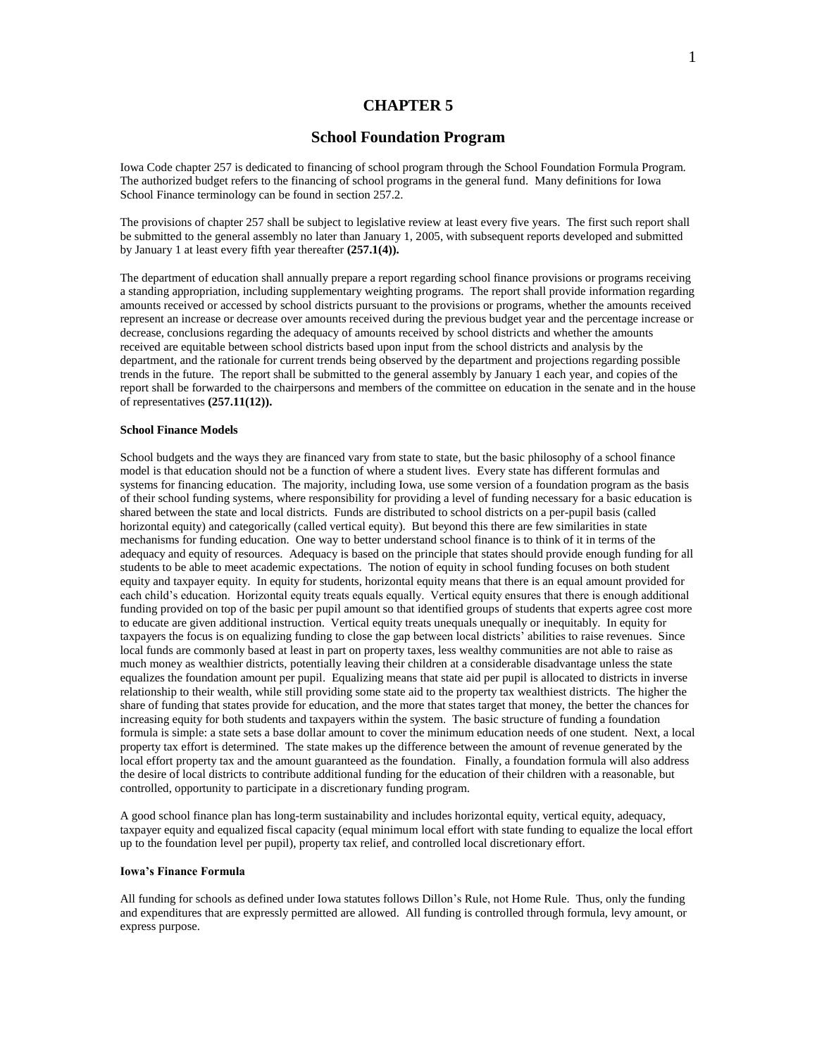### **CHAPTER 5**

### **School Foundation Program**

Iowa Code chapter 257 is dedicated to financing of school program through the School Foundation Formula Program. The authorized budget refers to the financing of school programs in the general fund. Many definitions for Iowa School Finance terminology can be found in section 257.2.

The provisions of chapter 257 shall be subject to legislative review at least every five years. The first such report shall be submitted to the general assembly no later than January 1, 2005, with subsequent reports developed and submitted by January 1 at least every fifth year thereafter **(257.1(4)).**

The department of education shall annually prepare a report regarding school finance provisions or programs receiving a standing appropriation, including supplementary weighting programs. The report shall provide information regarding amounts received or accessed by school districts pursuant to the provisions or programs, whether the amounts received represent an increase or decrease over amounts received during the previous budget year and the percentage increase or decrease, conclusions regarding the adequacy of amounts received by school districts and whether the amounts received are equitable between school districts based upon input from the school districts and analysis by the department, and the rationale for current trends being observed by the department and projections regarding possible trends in the future. The report shall be submitted to the general assembly by January 1 each year, and copies of the report shall be forwarded to the chairpersons and members of the committee on education in the senate and in the house of representatives **(257.11(12)).**

#### **School Finance Models**

School budgets and the ways they are financed vary from state to state, but the basic philosophy of a school finance model is that education should not be a function of where a student lives. Every state has different formulas and systems for financing education. The majority, including Iowa, use some version of a foundation program as the basis of their school funding systems, where responsibility for providing a level of funding necessary for a basic education is shared between the state and local districts. Funds are distributed to school districts on a per-pupil basis (called horizontal equity) and categorically (called vertical equity). But beyond this there are few similarities in state mechanisms for funding education. One way to better understand school finance is to think of it in terms of the adequacy and equity of resources. Adequacy is based on the principle that states should provide enough funding for all students to be able to meet academic expectations. The notion of equity in school funding focuses on both student equity and taxpayer equity. In equity for students, horizontal equity means that there is an equal amount provided for each child's education. Horizontal equity treats equals equally. Vertical equity ensures that there is enough additional funding provided on top of the basic per pupil amount so that identified groups of students that experts agree cost more to educate are given additional instruction. Vertical equity treats unequals unequally or inequitably. In equity for taxpayers the focus is on equalizing funding to close the gap between local districts' abilities to raise revenues. Since local funds are commonly based at least in part on property taxes, less wealthy communities are not able to raise as much money as wealthier districts, potentially leaving their children at a considerable disadvantage unless the state equalizes the foundation amount per pupil. Equalizing means that state aid per pupil is allocated to districts in inverse relationship to their wealth, while still providing some state aid to the property tax wealthiest districts. The higher the share of funding that states provide for education, and the more that states target that money, the better the chances for increasing equity for both students and taxpayers within the system. The basic structure of funding a foundation formula is simple: a state sets a base dollar amount to cover the minimum education needs of one student. Next, a local property tax effort is determined. The state makes up the difference between the amount of revenue generated by the local effort property tax and the amount guaranteed as the foundation. Finally, a foundation formula will also address the desire of local districts to contribute additional funding for the education of their children with a reasonable, but controlled, opportunity to participate in a discretionary funding program.

A good school finance plan has long-term sustainability and includes horizontal equity, vertical equity, adequacy, taxpayer equity and equalized fiscal capacity (equal minimum local effort with state funding to equalize the local effort up to the foundation level per pupil), property tax relief, and controlled local discretionary effort.

#### **Iowa's Finance Formula**

All funding for schools as defined under Iowa statutes follows Dillon's Rule, not Home Rule. Thus, only the funding and expenditures that are expressly permitted are allowed. All funding is controlled through formula, levy amount, or express purpose.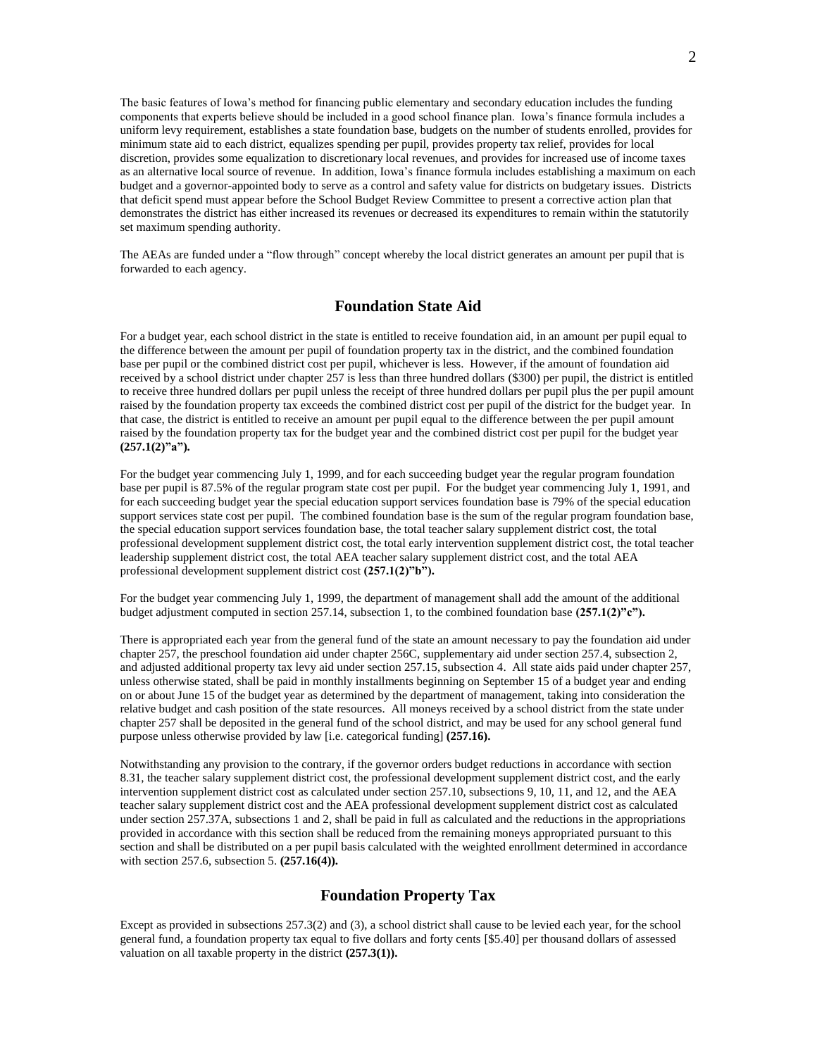The basic features of Iowa's method for financing public elementary and secondary education includes the funding components that experts believe should be included in a good school finance plan. Iowa's finance formula includes a uniform levy requirement, establishes a state foundation base, budgets on the number of students enrolled, provides for minimum state aid to each district, equalizes spending per pupil, provides property tax relief, provides for local discretion, provides some equalization to discretionary local revenues, and provides for increased use of income taxes as an alternative local source of revenue. In addition, Iowa's finance formula includes establishing a maximum on each budget and a governor-appointed body to serve as a control and safety value for districts on budgetary issues. Districts that deficit spend must appear before the School Budget Review Committee to present a corrective action plan that demonstrates the district has either increased its revenues or decreased its expenditures to remain within the statutorily set maximum spending authority.

The AEAs are funded under a "flow through" concept whereby the local district generates an amount per pupil that is forwarded to each agency.

## **Foundation State Aid**

For a budget year, each school district in the state is entitled to receive foundation aid, in an amount per pupil equal to the difference between the amount per pupil of foundation property tax in the district, and the combined foundation base per pupil or the combined district cost per pupil, whichever is less. However, if the amount of foundation aid received by a school district under chapter 257 is less than three hundred dollars (\$300) per pupil, the district is entitled to receive three hundred dollars per pupil unless the receipt of three hundred dollars per pupil plus the per pupil amount raised by the foundation property tax exceeds the combined district cost per pupil of the district for the budget year. In that case, the district is entitled to receive an amount per pupil equal to the difference between the per pupil amount raised by the foundation property tax for the budget year and the combined district cost per pupil for the budget year **(257.1(2)"a").**

For the budget year commencing July 1, 1999, and for each succeeding budget year the regular program foundation base per pupil is 87.5% of the regular program state cost per pupil. For the budget year commencing July 1, 1991, and for each succeeding budget year the special education support services foundation base is 79% of the special education support services state cost per pupil. The combined foundation base is the sum of the regular program foundation base, the special education support services foundation base, the total teacher salary supplement district cost, the total professional development supplement district cost, the total early intervention supplement district cost, the total teacher leadership supplement district cost, the total AEA teacher salary supplement district cost, and the total AEA professional development supplement district cost **(257.1(2)"b").**

For the budget year commencing July 1, 1999, the department of management shall add the amount of the additional budget adjustment computed in section 257.14, subsection 1, to the combined foundation base **(257.1(2)"c").** 

There is appropriated each year from the general fund of the state an amount necessary to pay the foundation aid under chapter 257, the preschool foundation aid under chapter 256C, supplementary aid under section 257.4, subsection 2, and adjusted additional property tax levy aid under section 257.15, subsection 4. All state aids paid under chapter 257, unless otherwise stated, shall be paid in monthly installments beginning on September 15 of a budget year and ending on or about June 15 of the budget year as determined by the department of management, taking into consideration the relative budget and cash position of the state resources. All moneys received by a school district from the state under chapter 257 shall be deposited in the general fund of the school district, and may be used for any school general fund purpose unless otherwise provided by law [i.e. categorical funding] **(257.16).**

Notwithstanding any provision to the contrary, if the governor orders budget reductions in accordance with section 8.31, the teacher salary supplement district cost, the professional development supplement district cost, and the early intervention supplement district cost as calculated under section 257.10, subsections 9, 10, 11, and 12, and the AEA teacher salary supplement district cost and the AEA professional development supplement district cost as calculated under section 257.37A, subsections 1 and 2, shall be paid in full as calculated and the reductions in the appropriations provided in accordance with this section shall be reduced from the remaining moneys appropriated pursuant to this section and shall be distributed on a per pupil basis calculated with the weighted enrollment determined in accordance with section 257.6, subsection 5. **(257.16(4)).**

## **Foundation Property Tax**

Except as provided in subsections 257.3(2) and (3), a school district shall cause to be levied each year, for the school general fund, a foundation property tax equal to five dollars and forty cents [\$5.40] per thousand dollars of assessed valuation on all taxable property in the district **(257.3(1)).**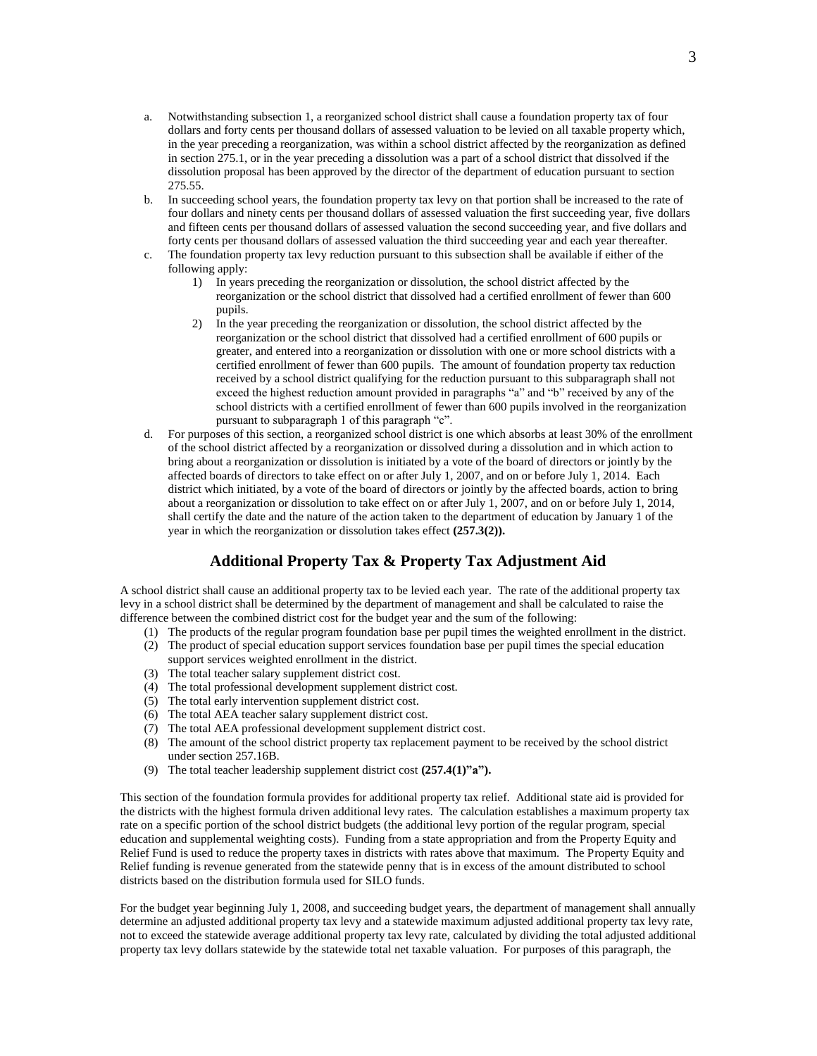- a. Notwithstanding subsection 1, a reorganized school district shall cause a foundation property tax of four dollars and forty cents per thousand dollars of assessed valuation to be levied on all taxable property which, in the year preceding a reorganization, was within a school district affected by the reorganization as defined in section 275.1, or in the year preceding a dissolution was a part of a school district that dissolved if the dissolution proposal has been approved by the director of the department of education pursuant to section 275.55.
- b. In succeeding school years, the foundation property tax levy on that portion shall be increased to the rate of four dollars and ninety cents per thousand dollars of assessed valuation the first succeeding year, five dollars and fifteen cents per thousand dollars of assessed valuation the second succeeding year, and five dollars and forty cents per thousand dollars of assessed valuation the third succeeding year and each year thereafter.
- c. The foundation property tax levy reduction pursuant to this subsection shall be available if either of the following apply:
	- 1) In years preceding the reorganization or dissolution, the school district affected by the reorganization or the school district that dissolved had a certified enrollment of fewer than 600 pupils.
	- 2) In the year preceding the reorganization or dissolution, the school district affected by the reorganization or the school district that dissolved had a certified enrollment of 600 pupils or greater, and entered into a reorganization or dissolution with one or more school districts with a certified enrollment of fewer than 600 pupils. The amount of foundation property tax reduction received by a school district qualifying for the reduction pursuant to this subparagraph shall not exceed the highest reduction amount provided in paragraphs "a" and "b" received by any of the school districts with a certified enrollment of fewer than 600 pupils involved in the reorganization pursuant to subparagraph 1 of this paragraph "c".
- d. For purposes of this section, a reorganized school district is one which absorbs at least 30% of the enrollment of the school district affected by a reorganization or dissolved during a dissolution and in which action to bring about a reorganization or dissolution is initiated by a vote of the board of directors or jointly by the affected boards of directors to take effect on or after July 1, 2007, and on or before July 1, 2014. Each district which initiated, by a vote of the board of directors or jointly by the affected boards, action to bring about a reorganization or dissolution to take effect on or after July 1, 2007, and on or before July 1, 2014, shall certify the date and the nature of the action taken to the department of education by January 1 of the year in which the reorganization or dissolution takes effect **(257.3(2)).**

# **Additional Property Tax & Property Tax Adjustment Aid**

A school district shall cause an additional property tax to be levied each year. The rate of the additional property tax levy in a school district shall be determined by the department of management and shall be calculated to raise the difference between the combined district cost for the budget year and the sum of the following:

- (1) The products of the regular program foundation base per pupil times the weighted enrollment in the district.
- (2) The product of special education support services foundation base per pupil times the special education support services weighted enrollment in the district.
- (3) The total teacher salary supplement district cost.
- (4) The total professional development supplement district cost.
- (5) The total early intervention supplement district cost.
- (6) The total AEA teacher salary supplement district cost.
- (7) The total AEA professional development supplement district cost.
- (8) The amount of the school district property tax replacement payment to be received by the school district under section 257.16B.
- (9) The total teacher leadership supplement district cost **(257.4(1)"a").**

This section of the foundation formula provides for additional property tax relief. Additional state aid is provided for the districts with the highest formula driven additional levy rates. The calculation establishes a maximum property tax rate on a specific portion of the school district budgets (the additional levy portion of the regular program, special education and supplemental weighting costs). Funding from a state appropriation and from the Property Equity and Relief Fund is used to reduce the property taxes in districts with rates above that maximum. The Property Equity and Relief funding is revenue generated from the statewide penny that is in excess of the amount distributed to school districts based on the distribution formula used for SILO funds.

For the budget year beginning July 1, 2008, and succeeding budget years, the department of management shall annually determine an adjusted additional property tax levy and a statewide maximum adjusted additional property tax levy rate, not to exceed the statewide average additional property tax levy rate, calculated by dividing the total adjusted additional property tax levy dollars statewide by the statewide total net taxable valuation. For purposes of this paragraph, the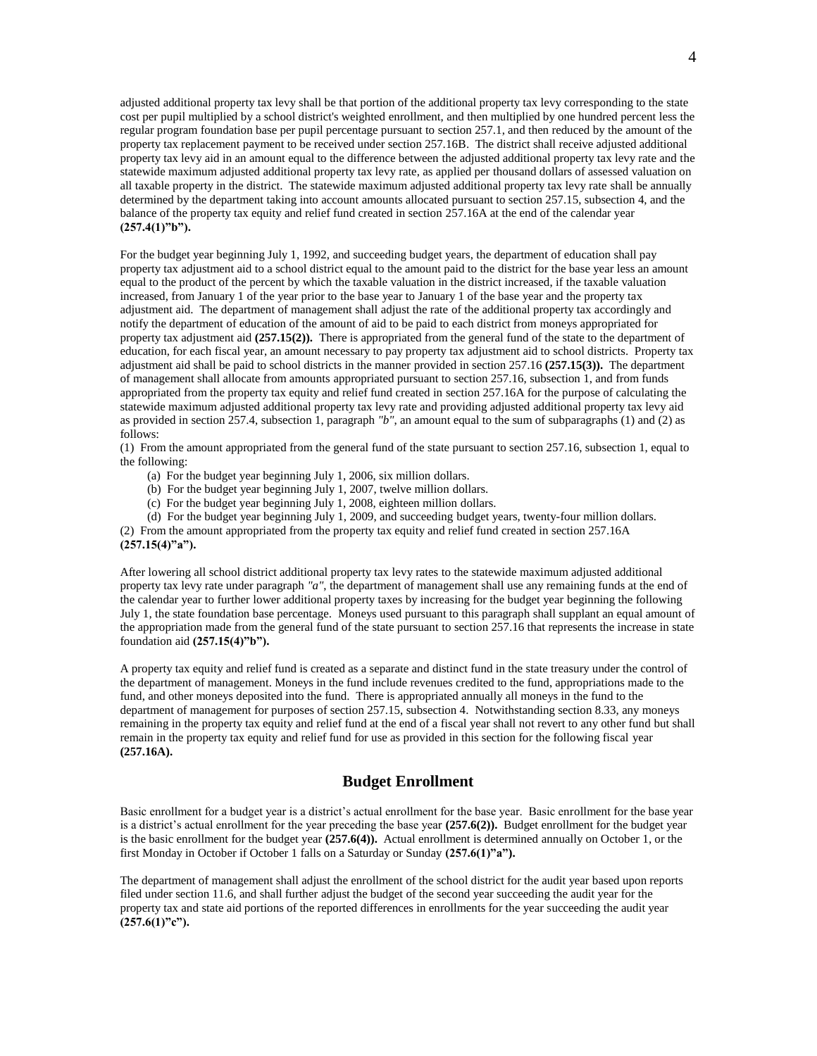adjusted additional property tax levy shall be that portion of the additional property tax levy corresponding to the state cost per pupil multiplied by a school district's weighted enrollment, and then multiplied by one hundred percent less the regular program foundation base per pupil percentage pursuant to section 257.1, and then reduced by the amount of the property tax replacement payment to be received under section 257.16B. The district shall receive adjusted additional property tax levy aid in an amount equal to the difference between the adjusted additional property tax levy rate and the statewide maximum adjusted additional property tax levy rate, as applied per thousand dollars of assessed valuation on all taxable property in the district. The statewide maximum adjusted additional property tax levy rate shall be annually determined by the department taking into account amounts allocated pursuant to section 257.15, subsection 4, and the balance of the property tax equity and relief fund created in section 257.16A at the end of the calendar year **(257.4(1)"b").**

For the budget year beginning July 1, 1992, and succeeding budget years, the department of education shall pay property tax adjustment aid to a school district equal to the amount paid to the district for the base year less an amount equal to the product of the percent by which the taxable valuation in the district increased, if the taxable valuation increased, from January 1 of the year prior to the base year to January 1 of the base year and the property tax adjustment aid. The department of management shall adjust the rate of the additional property tax accordingly and notify the department of education of the amount of aid to be paid to each district from moneys appropriated for property tax adjustment aid **(257.15(2)).** There is appropriated from the general fund of the state to the department of education, for each fiscal year, an amount necessary to pay property tax adjustment aid to school districts. Property tax adjustment aid shall be paid to school districts in the manner provided in section 257.16 **(257.15(3)).** The department of management shall allocate from amounts appropriated pursuant to section 257.16, subsection 1, and from funds appropriated from the property tax equity and relief fund created in section 257.16A for the purpose of calculating the statewide maximum adjusted additional property tax levy rate and providing adjusted additional property tax levy aid as provided in section 257.4, subsection 1, paragraph *"b"*, an amount equal to the sum of subparagraphs (1) and (2) as follows:

(1) From the amount appropriated from the general fund of the state pursuant to section 257.16, subsection 1, equal to the following:

(a) For the budget year beginning July 1, 2006, six million dollars.

(b) For the budget year beginning July 1, 2007, twelve million dollars.

(c) For the budget year beginning July 1, 2008, eighteen million dollars.

(d) For the budget year beginning July 1, 2009, and succeeding budget years, twenty-four million dollars.

(2) From the amount appropriated from the property tax equity and relief fund created in section 257.16A

**(257.15(4)"a").**

After lowering all school district additional property tax levy rates to the statewide maximum adjusted additional property tax levy rate under paragraph *"a"*, the department of management shall use any remaining funds at the end of the calendar year to further lower additional property taxes by increasing for the budget year beginning the following July 1, the state foundation base percentage. Moneys used pursuant to this paragraph shall supplant an equal amount of the appropriation made from the general fund of the state pursuant to section 257.16 that represents the increase in state foundation aid **(257.15(4)"b").**

A property tax equity and relief fund is created as a separate and distinct fund in the state treasury under the control of the department of management. Moneys in the fund include revenues credited to the fund, appropriations made to the fund, and other moneys deposited into the fund. There is appropriated annually all moneys in the fund to the department of management for purposes of section 257.15, subsection 4. Notwithstanding section 8.33, any moneys remaining in the property tax equity and relief fund at the end of a fiscal year shall not revert to any other fund but shall remain in the property tax equity and relief fund for use as provided in this section for the following fiscal year **(257.16A).**

## **Budget Enrollment**

Basic enrollment for a budget year is a district's actual enrollment for the base year. Basic enrollment for the base year is a district's actual enrollment for the year preceding the base year **(257.6(2)).** Budget enrollment for the budget year is the basic enrollment for the budget year **(257.6(4)).** Actual enrollment is determined annually on October 1, or the first Monday in October if October 1 falls on a Saturday or Sunday **(257.6(1)"a").**

The department of management shall adjust the enrollment of the school district for the audit year based upon reports filed under section 11.6, and shall further adjust the budget of the second year succeeding the audit year for the property tax and state aid portions of the reported differences in enrollments for the year succeeding the audit year **(257.6(1)"c").**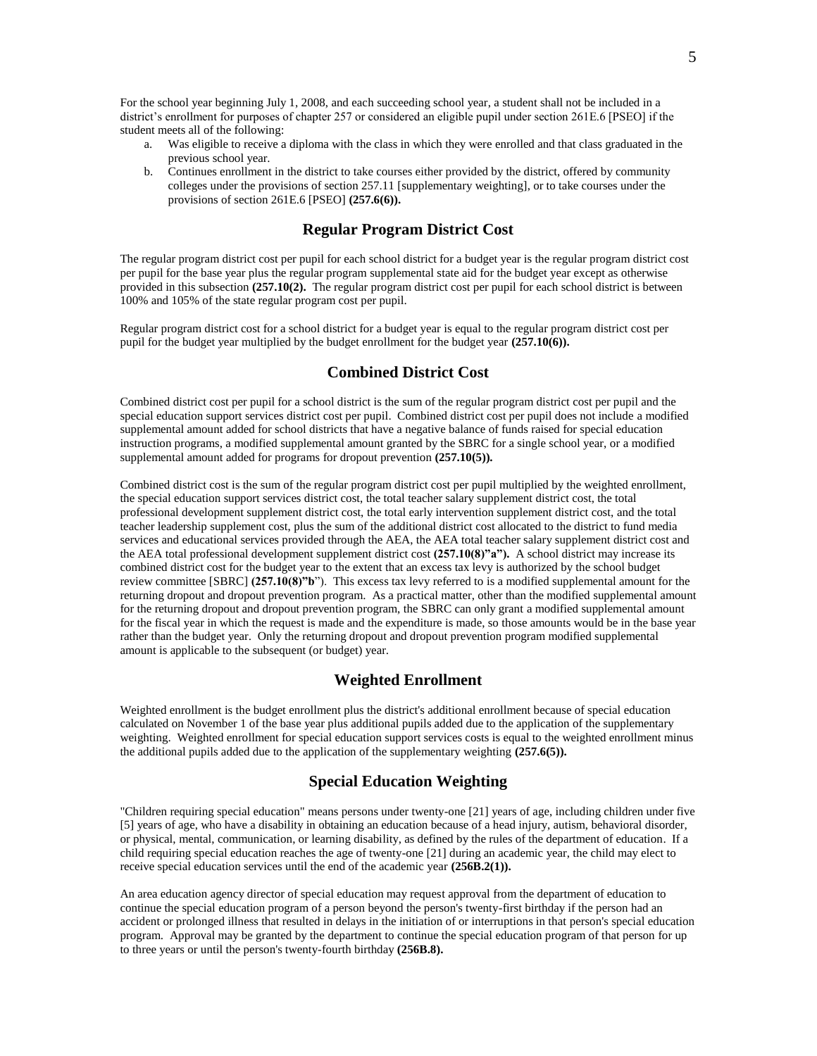For the school year beginning July 1, 2008, and each succeeding school year, a student shall not be included in a district's enrollment for purposes of chapter 257 or considered an eligible pupil under section 261E.6 [PSEO] if the student meets all of the following:

- a. Was eligible to receive a diploma with the class in which they were enrolled and that class graduated in the previous school year.
- b. Continues enrollment in the district to take courses either provided by the district, offered by community colleges under the provisions of section 257.11 [supplementary weighting], or to take courses under the provisions of section 261E.6 [PSEO] **(257.6(6)).**

## **Regular Program District Cost**

The regular program district cost per pupil for each school district for a budget year is the regular program district cost per pupil for the base year plus the regular program supplemental state aid for the budget year except as otherwise provided in this subsection **(257.10(2).** The regular program district cost per pupil for each school district is between 100% and 105% of the state regular program cost per pupil.

Regular program district cost for a school district for a budget year is equal to the regular program district cost per pupil for the budget year multiplied by the budget enrollment for the budget year **(257.10(6)).**

## **Combined District Cost**

Combined district cost per pupil for a school district is the sum of the regular program district cost per pupil and the special education support services district cost per pupil. Combined district cost per pupil does not include a modified supplemental amount added for school districts that have a negative balance of funds raised for special education instruction programs, a modified supplemental amount granted by the SBRC for a single school year, or a modified supplemental amount added for programs for dropout prevention **(257.10(5)).**

Combined district cost is the sum of the regular program district cost per pupil multiplied by the weighted enrollment, the special education support services district cost, the total teacher salary supplement district cost, the total professional development supplement district cost, the total early intervention supplement district cost, and the total teacher leadership supplement cost, plus the sum of the additional district cost allocated to the district to fund media services and educational services provided through the AEA, the AEA total teacher salary supplement district cost and the AEA total professional development supplement district cost **(257.10(8)"a").** A school district may increase its combined district cost for the budget year to the extent that an excess tax levy is authorized by the school budget review committee [SBRC] **(257.10(8)"b**"). This excess tax levy referred to is a modified supplemental amount for the returning dropout and dropout prevention program. As a practical matter, other than the modified supplemental amount for the returning dropout and dropout prevention program, the SBRC can only grant a modified supplemental amount for the fiscal year in which the request is made and the expenditure is made, so those amounts would be in the base year rather than the budget year. Only the returning dropout and dropout prevention program modified supplemental amount is applicable to the subsequent (or budget) year.

## **Weighted Enrollment**

Weighted enrollment is the budget enrollment plus the district's additional enrollment because of special education calculated on November 1 of the base year plus additional pupils added due to the application of the supplementary weighting. Weighted enrollment for special education support services costs is equal to the weighted enrollment minus the additional pupils added due to the application of the supplementary weighting **(257.6(5)).**

## **Special Education Weighting**

"Children requiring special education" means persons under twenty-one [21] years of age, including children under five [5] years of age, who have a disability in obtaining an education because of a head injury, autism, behavioral disorder, or physical, mental, communication, or learning disability, as defined by the rules of the department of education. If a child requiring special education reaches the age of twenty-one [21] during an academic year, the child may elect to receive special education services until the end of the academic year **(256B.2(1)).**

An area education agency director of special education may request approval from the department of education to continue the special education program of a person beyond the person's twenty-first birthday if the person had an accident or prolonged illness that resulted in delays in the initiation of or interruptions in that person's special education program. Approval may be granted by the department to continue the special education program of that person for up to three years or until the person's twenty-fourth birthday **(256B.8).**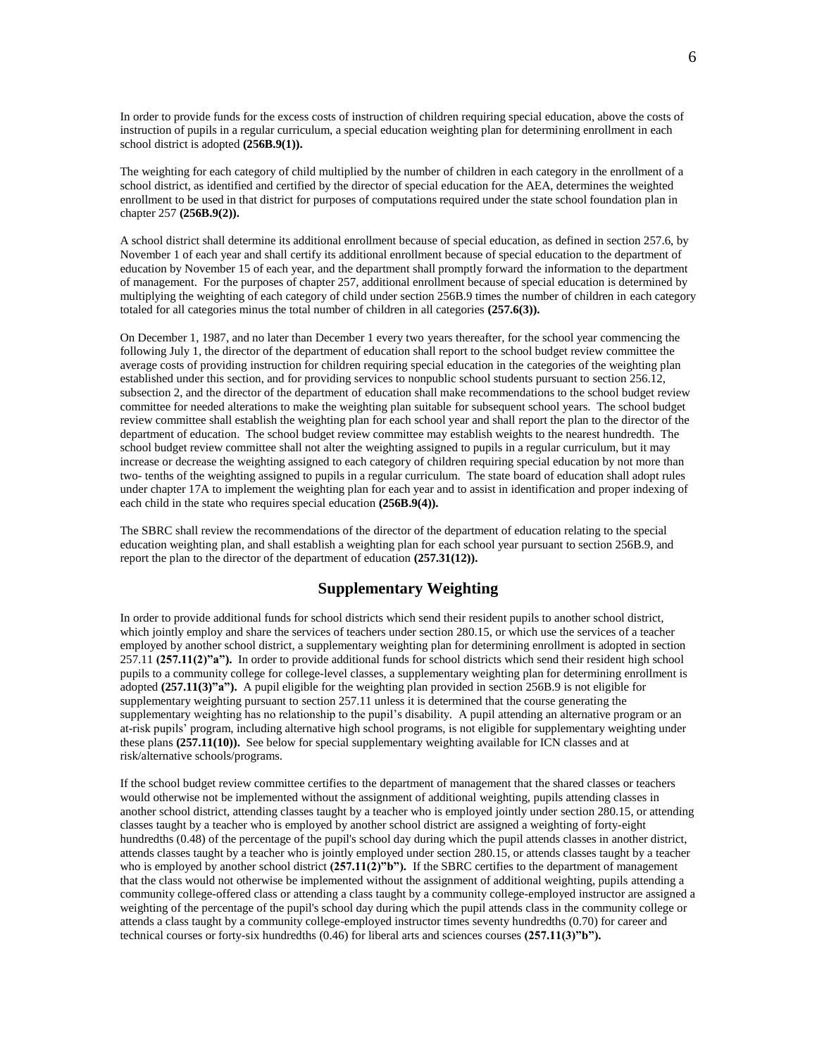In order to provide funds for the excess costs of instruction of children requiring special education, above the costs of instruction of pupils in a regular curriculum, a special education weighting plan for determining enrollment in each school district is adopted **(256B.9(1)).**

The weighting for each category of child multiplied by the number of children in each category in the enrollment of a school district, as identified and certified by the director of special education for the AEA, determines the weighted enrollment to be used in that district for purposes of computations required under the state school foundation plan in chapter 257 **(256B.9(2)).**

A school district shall determine its additional enrollment because of special education, as defined in section 257.6, by November 1 of each year and shall certify its additional enrollment because of special education to the department of education by November 15 of each year, and the department shall promptly forward the information to the department of management. For the purposes of chapter 257, additional enrollment because of special education is determined by multiplying the weighting of each category of child under section 256B.9 times the number of children in each category totaled for all categories minus the total number of children in all categories **(257.6(3)).**

On December 1, 1987, and no later than December 1 every two years thereafter, for the school year commencing the following July 1, the director of the department of education shall report to the school budget review committee the average costs of providing instruction for children requiring special education in the categories of the weighting plan established under this section, and for providing services to nonpublic school students pursuant to section 256.12, subsection 2, and the director of the department of education shall make recommendations to the school budget review committee for needed alterations to make the weighting plan suitable for subsequent school years. The school budget review committee shall establish the weighting plan for each school year and shall report the plan to the director of the department of education. The school budget review committee may establish weights to the nearest hundredth. The school budget review committee shall not alter the weighting assigned to pupils in a regular curriculum, but it may increase or decrease the weighting assigned to each category of children requiring special education by not more than two- tenths of the weighting assigned to pupils in a regular curriculum. The state board of education shall adopt rules under chapter 17A to implement the weighting plan for each year and to assist in identification and proper indexing of each child in the state who requires special education **(256B.9(4)).**

The SBRC shall review the recommendations of the director of the department of education relating to the special education weighting plan, and shall establish a weighting plan for each school year pursuant to section 256B.9, and report the plan to the director of the department of education **(257.31(12)).**

# **Supplementary Weighting**

In order to provide additional funds for school districts which send their resident pupils to another school district, which jointly employ and share the services of teachers under section 280.15, or which use the services of a teacher employed by another school district, a supplementary weighting plan for determining enrollment is adopted in section 257.11 **(257.11(2)"a").** In order to provide additional funds for school districts which send their resident high school pupils to a community college for college-level classes, a supplementary weighting plan for determining enrollment is adopted **(257.11(3)"a").** A pupil eligible for the weighting plan provided in section 256B.9 is not eligible for supplementary weighting pursuant to section 257.11 unless it is determined that the course generating the supplementary weighting has no relationship to the pupil's disability. A pupil attending an alternative program or an at-risk pupils' program, including alternative high school programs, is not eligible for supplementary weighting under these plans **(257.11(10)).** See below for special supplementary weighting available for ICN classes and at risk/alternative schools/programs.

If the school budget review committee certifies to the department of management that the shared classes or teachers would otherwise not be implemented without the assignment of additional weighting, pupils attending classes in another school district, attending classes taught by a teacher who is employed jointly under section 280.15, or attending classes taught by a teacher who is employed by another school district are assigned a weighting of forty-eight hundredths (0.48) of the percentage of the pupil's school day during which the pupil attends classes in another district, attends classes taught by a teacher who is jointly employed under section 280.15, or attends classes taught by a teacher who is employed by another school district  $(257.11(2)^{n}b^{n})$ . If the SBRC certifies to the department of management that the class would not otherwise be implemented without the assignment of additional weighting, pupils attending a community college-offered class or attending a class taught by a community college-employed instructor are assigned a weighting of the percentage of the pupil's school day during which the pupil attends class in the community college or attends a class taught by a community college-employed instructor times seventy hundredths (0.70) for career and technical courses or forty-six hundredths (0.46) for liberal arts and sciences courses **(257.11(3)"b").**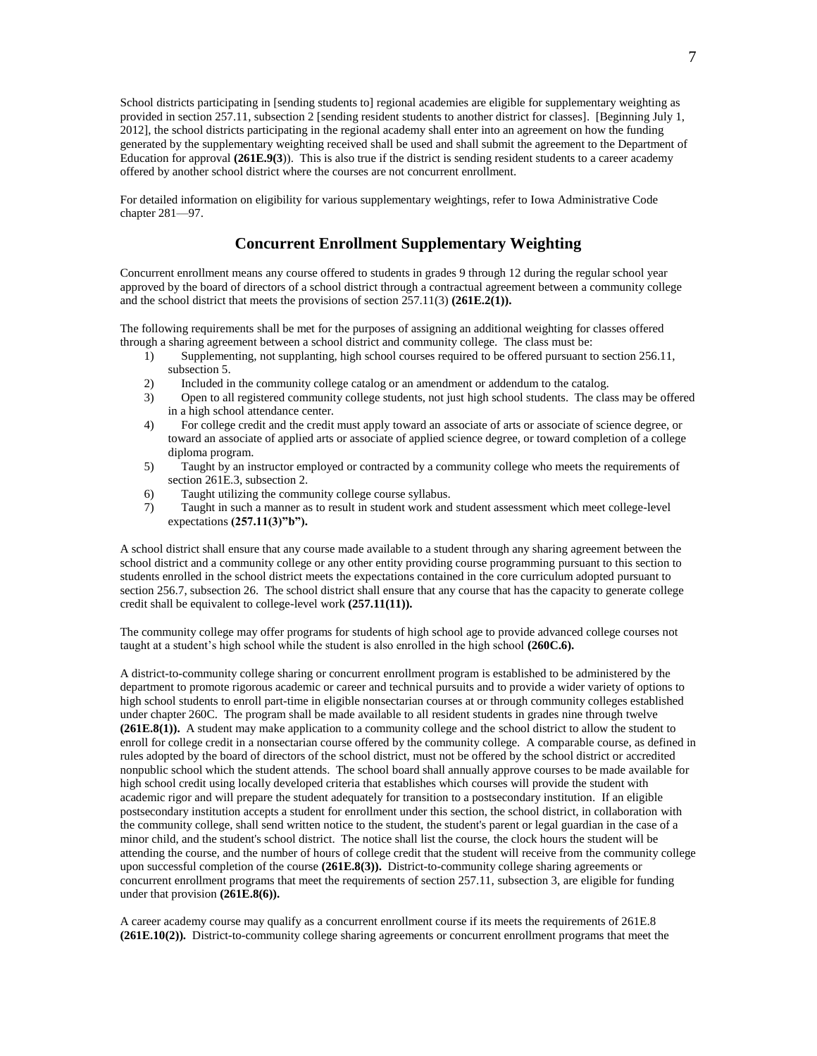School districts participating in [sending students to] regional academies are eligible for supplementary weighting as provided in section 257.11, subsection 2 [sending resident students to another district for classes]. [Beginning July 1, 2012], the school districts participating in the regional academy shall enter into an agreement on how the funding generated by the supplementary weighting received shall be used and shall submit the agreement to the Department of Education for approval **(261E.9(3**)). This is also true if the district is sending resident students to a career academy offered by another school district where the courses are not concurrent enrollment.

For detailed information on eligibility for various supplementary weightings, refer to Iowa Administrative Code chapter 281—97.

## **Concurrent Enrollment Supplementary Weighting**

Concurrent enrollment means any course offered to students in grades 9 through 12 during the regular school year approved by the board of directors of a school district through a contractual agreement between a community college and the school district that meets the provisions of section 257.11(3) **(261E.2(1)).**

The following requirements shall be met for the purposes of assigning an additional weighting for classes offered through a sharing agreement between a school district and community college. The class must be:

- 1) Supplementing, not supplanting, high school courses required to be offered pursuant to section 256.11, subsection 5.
- 2) Included in the community college catalog or an amendment or addendum to the catalog.
- 3) Open to all registered community college students, not just high school students. The class may be offered in a high school attendance center.
- 4) For college credit and the credit must apply toward an associate of arts or associate of science degree, or toward an associate of applied arts or associate of applied science degree, or toward completion of a college diploma program.
- 5) Taught by an instructor employed or contracted by a community college who meets the requirements of section 261E.3, subsection 2.
- 6) Taught utilizing the community college course syllabus.
- 7) Taught in such a manner as to result in student work and student assessment which meet college-level expectations **(257.11(3)"b").**

A school district shall ensure that any course made available to a student through any sharing agreement between the school district and a community college or any other entity providing course programming pursuant to this section to students enrolled in the school district meets the expectations contained in the core curriculum adopted pursuant to section 256.7, subsection 26. The school district shall ensure that any course that has the capacity to generate college credit shall be equivalent to college-level work **(257.11(11)).**

The community college may offer programs for students of high school age to provide advanced college courses not taught at a student's high school while the student is also enrolled in the high school **(260C.6).**

A district-to-community college sharing or concurrent enrollment program is established to be administered by the department to promote rigorous academic or career and technical pursuits and to provide a wider variety of options to high school students to enroll part-time in eligible nonsectarian courses at or through community colleges established under chapter 260C. The program shall be made available to all resident students in grades nine through twelve **(261E.8(1)).** A student may make application to a community college and the school district to allow the student to enroll for college credit in a nonsectarian course offered by the community college. A comparable course, as defined in rules adopted by the board of directors of the school district, must not be offered by the school district or accredited nonpublic school which the student attends. The school board shall annually approve courses to be made available for high school credit using locally developed criteria that establishes which courses will provide the student with academic rigor and will prepare the student adequately for transition to a postsecondary institution. If an eligible postsecondary institution accepts a student for enrollment under this section, the school district, in collaboration with the community college, shall send written notice to the student, the student's parent or legal guardian in the case of a minor child, and the student's school district. The notice shall list the course, the clock hours the student will be attending the course, and the number of hours of college credit that the student will receive from the community college upon successful completion of the course **(261E.8(3)).** District-to-community college sharing agreements or concurrent enrollment programs that meet the requirements of section 257.11, subsection 3, are eligible for funding under that provision **(261E.8(6)).**

A career academy course may qualify as a concurrent enrollment course if its meets the requirements of 261E.8 **(261E.10(2)).** District-to-community college sharing agreements or concurrent enrollment programs that meet the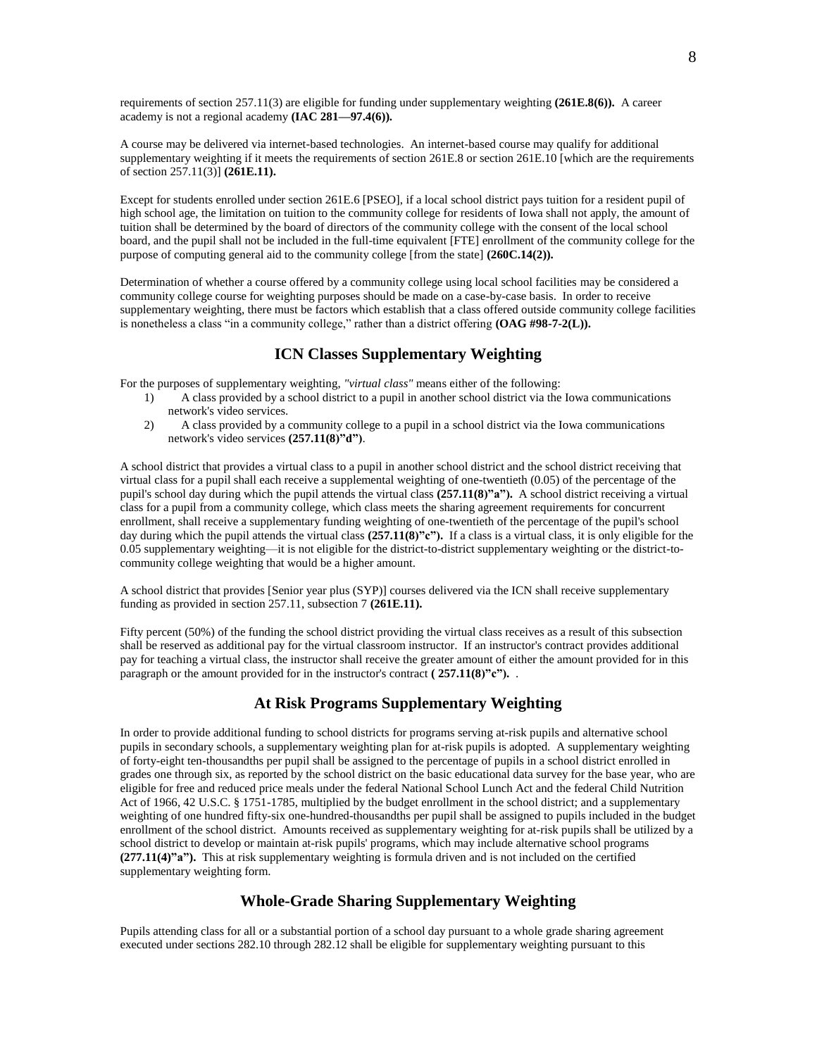requirements of section 257.11(3) are eligible for funding under supplementary weighting **(261E.8(6)).** A career academy is not a regional academy **(IAC 281—97.4(6)).**

A course may be delivered via internet-based technologies. An internet-based course may qualify for additional supplementary weighting if it meets the requirements of section 261E.8 or section 261E.10 [which are the requirements of section 257.11(3)] **(261E.11).**

Except for students enrolled under section 261E.6 [PSEO], if a local school district pays tuition for a resident pupil of high school age, the limitation on tuition to the community college for residents of Iowa shall not apply, the amount of tuition shall be determined by the board of directors of the community college with the consent of the local school board, and the pupil shall not be included in the full-time equivalent [FTE] enrollment of the community college for the purpose of computing general aid to the community college [from the state] **(260C.14(2)).**

Determination of whether a course offered by a community college using local school facilities may be considered a community college course for weighting purposes should be made on a case-by-case basis. In order to receive supplementary weighting, there must be factors which establish that a class offered outside community college facilities is nonetheless a class "in a community college," rather than a district offering **(OAG #98-7-2(L)).** 

## **ICN Classes Supplementary Weighting**

For the purposes of supplementary weighting, *"virtual class"* means either of the following:

- 1) A class provided by a school district to a pupil in another school district via the Iowa communications network's video services.
- 2) A class provided by a community college to a pupil in a school district via the Iowa communications network's video services **(257.11(8)"d")**.

A school district that provides a virtual class to a pupil in another school district and the school district receiving that virtual class for a pupil shall each receive a supplemental weighting of one-twentieth (0.05) of the percentage of the pupil's school day during which the pupil attends the virtual class **(257.11(8)"a").** A school district receiving a virtual class for a pupil from a community college, which class meets the sharing agreement requirements for concurrent enrollment, shall receive a supplementary funding weighting of one-twentieth of the percentage of the pupil's school day during which the pupil attends the virtual class **(257.11(8)"c").** If a class is a virtual class, it is only eligible for the 0.05 supplementary weighting—it is not eligible for the district-to-district supplementary weighting or the district-tocommunity college weighting that would be a higher amount.

A school district that provides [Senior year plus (SYP)] courses delivered via the ICN shall receive supplementary funding as provided in section 257.11, subsection 7 **(261E.11).**

Fifty percent (50%) of the funding the school district providing the virtual class receives as a result of this subsection shall be reserved as additional pay for the virtual classroom instructor. If an instructor's contract provides additional pay for teaching a virtual class, the instructor shall receive the greater amount of either the amount provided for in this paragraph or the amount provided for in the instructor's contract **( 257.11(8)"c").** .

## **At Risk Programs Supplementary Weighting**

In order to provide additional funding to school districts for programs serving at-risk pupils and alternative school pupils in secondary schools, a supplementary weighting plan for at-risk pupils is adopted. A supplementary weighting of forty-eight ten-thousandths per pupil shall be assigned to the percentage of pupils in a school district enrolled in grades one through six, as reported by the school district on the basic educational data survey for the base year, who are eligible for free and reduced price meals under the federal National School Lunch Act and the federal Child Nutrition Act of 1966, 42 U.S.C. § 1751-1785, multiplied by the budget enrollment in the school district; and a supplementary weighting of one hundred fifty-six one-hundred-thousandths per pupil shall be assigned to pupils included in the budget enrollment of the school district. Amounts received as supplementary weighting for at-risk pupils shall be utilized by a school district to develop or maintain at-risk pupils' programs, which may include alternative school programs **(277.11(4)"a").** This at risk supplementary weighting is formula driven and is not included on the certified supplementary weighting form.

# **Whole-Grade Sharing Supplementary Weighting**

Pupils attending class for all or a substantial portion of a school day pursuant to a whole grade sharing agreement executed under sections 282.10 through 282.12 shall be eligible for supplementary weighting pursuant to this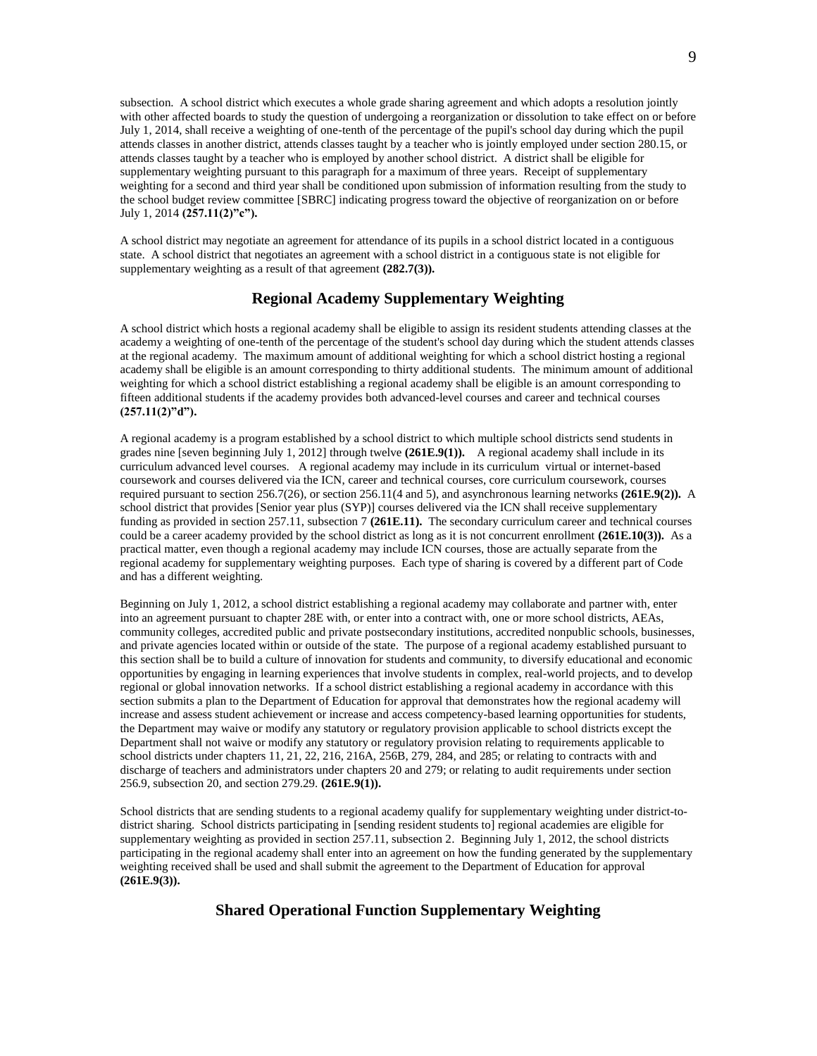subsection. A school district which executes a whole grade sharing agreement and which adopts a resolution jointly with other affected boards to study the question of undergoing a reorganization or dissolution to take effect on or before July 1, 2014, shall receive a weighting of one-tenth of the percentage of the pupil's school day during which the pupil attends classes in another district, attends classes taught by a teacher who is jointly employed under section 280.15, or attends classes taught by a teacher who is employed by another school district. A district shall be eligible for supplementary weighting pursuant to this paragraph for a maximum of three years. Receipt of supplementary weighting for a second and third year shall be conditioned upon submission of information resulting from the study to the school budget review committee [SBRC] indicating progress toward the objective of reorganization on or before July 1, 2014 **(257.11(2)"c").**

A school district may negotiate an agreement for attendance of its pupils in a school district located in a contiguous state. A school district that negotiates an agreement with a school district in a contiguous state is not eligible for supplementary weighting as a result of that agreement **(282.7(3)).**

### **Regional Academy Supplementary Weighting**

A school district which hosts a regional academy shall be eligible to assign its resident students attending classes at the academy a weighting of one-tenth of the percentage of the student's school day during which the student attends classes at the regional academy. The maximum amount of additional weighting for which a school district hosting a regional academy shall be eligible is an amount corresponding to thirty additional students. The minimum amount of additional weighting for which a school district establishing a regional academy shall be eligible is an amount corresponding to fifteen additional students if the academy provides both advanced-level courses and career and technical courses **(257.11(2)"d").**

A regional academy is a program established by a school district to which multiple school districts send students in grades nine [seven beginning July 1, 2012] through twelve **(261E.9(1)).** A regional academy shall include in its curriculum advanced level courses. A regional academy may include in its curriculum virtual or internet-based coursework and courses delivered via the ICN, career and technical courses, core curriculum coursework, courses required pursuant to section 256.7(26), or section 256.11(4 and 5), and asynchronous learning networks **(261E.9(2)).** A school district that provides [Senior year plus (SYP)] courses delivered via the ICN shall receive supplementary funding as provided in section 257.11, subsection 7 **(261E.11).** The secondary curriculum career and technical courses could be a career academy provided by the school district as long as it is not concurrent enrollment **(261E.10(3)).** As a practical matter, even though a regional academy may include ICN courses, those are actually separate from the regional academy for supplementary weighting purposes. Each type of sharing is covered by a different part of Code and has a different weighting.

Beginning on July 1, 2012, a school district establishing a regional academy may collaborate and partner with, enter into an agreement pursuant to chapter 28E with, or enter into a contract with, one or more school districts, AEAs, community colleges, accredited public and private postsecondary institutions, accredited nonpublic schools, businesses, and private agencies located within or outside of the state. The purpose of a regional academy established pursuant to this section shall be to build a culture of innovation for students and community, to diversify educational and economic opportunities by engaging in learning experiences that involve students in complex, real-world projects, and to develop regional or global innovation networks. If a school district establishing a regional academy in accordance with this section submits a plan to the Department of Education for approval that demonstrates how the regional academy will increase and assess student achievement or increase and access competency-based learning opportunities for students, the Department may waive or modify any statutory or regulatory provision applicable to school districts except the Department shall not waive or modify any statutory or regulatory provision relating to requirements applicable to school districts under chapters 11, 21, 22, 216, 216A, 256B, 279, 284, and 285; or relating to contracts with and discharge of teachers and administrators under chapters 20 and 279; or relating to audit requirements under section 256.9, subsection 20, and section 279.29. **(261E.9(1)).**

School districts that are sending students to a regional academy qualify for supplementary weighting under district-todistrict sharing. School districts participating in [sending resident students to] regional academies are eligible for supplementary weighting as provided in section 257.11, subsection 2. Beginning July 1, 2012, the school districts participating in the regional academy shall enter into an agreement on how the funding generated by the supplementary weighting received shall be used and shall submit the agreement to the Department of Education for approval **(261E.9(3)).**

# **Shared Operational Function Supplementary Weighting**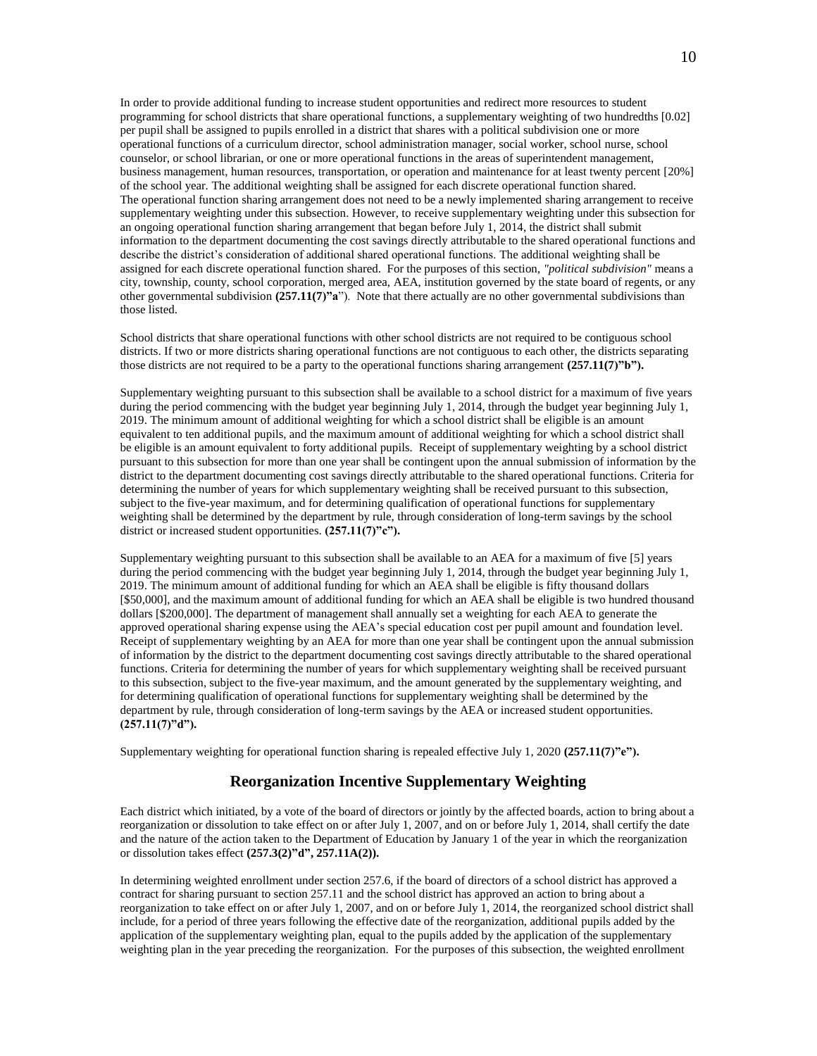In order to provide additional funding to increase student opportunities and redirect more resources to student programming for school districts that share operational functions, a supplementary weighting of two hundredths [0.02] per pupil shall be assigned to pupils enrolled in a district that shares with a political subdivision one or more operational functions of a curriculum director, school administration manager, social worker, school nurse, school counselor, or school librarian, or one or more operational functions in the areas of superintendent management, business management, human resources, transportation, or operation and maintenance for at least twenty percent [20%] of the school year. The additional weighting shall be assigned for each discrete operational function shared. The operational function sharing arrangement does not need to be a newly implemented sharing arrangement to receive supplementary weighting under this subsection. However, to receive supplementary weighting under this subsection for an ongoing operational function sharing arrangement that began before July 1, 2014, the district shall submit information to the department documenting the cost savings directly attributable to the shared operational functions and describe the district's consideration of additional shared operational functions. The additional weighting shall be assigned for each discrete operational function shared. For the purposes of this section, *"political subdivision"* means a city, township, county, school corporation, merged area, AEA, institution governed by the state board of regents, or any other governmental subdivision **(257.11(7)"a**"). Note that there actually are no other governmental subdivisions than those listed.

School districts that share operational functions with other school districts are not required to be contiguous school districts. If two or more districts sharing operational functions are not contiguous to each other, the districts separating those districts are not required to be a party to the operational functions sharing arrangement **(257.11(7)"b").**

Supplementary weighting pursuant to this subsection shall be available to a school district for a maximum of five years during the period commencing with the budget year beginning July 1, 2014, through the budget year beginning July 1, 2019. The minimum amount of additional weighting for which a school district shall be eligible is an amount equivalent to ten additional pupils, and the maximum amount of additional weighting for which a school district shall be eligible is an amount equivalent to forty additional pupils. Receipt of supplementary weighting by a school district pursuant to this subsection for more than one year shall be contingent upon the annual submission of information by the district to the department documenting cost savings directly attributable to the shared operational functions. Criteria for determining the number of years for which supplementary weighting shall be received pursuant to this subsection, subject to the five-year maximum, and for determining qualification of operational functions for supplementary weighting shall be determined by the department by rule, through consideration of long-term savings by the school district or increased student opportunities. **(257.11(7)"c").**

Supplementary weighting pursuant to this subsection shall be available to an AEA for a maximum of five [5] years during the period commencing with the budget year beginning July 1, 2014, through the budget year beginning July 1, 2019. The minimum amount of additional funding for which an AEA shall be eligible is fifty thousand dollars [\$50,000], and the maximum amount of additional funding for which an AEA shall be eligible is two hundred thousand dollars [\$200,000]. The department of management shall annually set a weighting for each AEA to generate the approved operational sharing expense using the AEA's special education cost per pupil amount and foundation level. Receipt of supplementary weighting by an AEA for more than one year shall be contingent upon the annual submission of information by the district to the department documenting cost savings directly attributable to the shared operational functions. Criteria for determining the number of years for which supplementary weighting shall be received pursuant to this subsection, subject to the five-year maximum, and the amount generated by the supplementary weighting, and for determining qualification of operational functions for supplementary weighting shall be determined by the department by rule, through consideration of long-term savings by the AEA or increased student opportunities. **(257.11(7)"d").**

Supplementary weighting for operational function sharing is repealed effective July 1, 2020 **(257.11(7)"e").**

## **Reorganization Incentive Supplementary Weighting**

Each district which initiated, by a vote of the board of directors or jointly by the affected boards, action to bring about a reorganization or dissolution to take effect on or after July 1, 2007, and on or before July 1, 2014, shall certify the date and the nature of the action taken to the Department of Education by January 1 of the year in which the reorganization or dissolution takes effect **(257.3(2)"d", 257.11A(2)).**

In determining weighted enrollment under section 257.6, if the board of directors of a school district has approved a contract for sharing pursuant to section 257.11 and the school district has approved an action to bring about a reorganization to take effect on or after July 1, 2007, and on or before July 1, 2014, the reorganized school district shall include, for a period of three years following the effective date of the reorganization, additional pupils added by the application of the supplementary weighting plan, equal to the pupils added by the application of the supplementary weighting plan in the year preceding the reorganization. For the purposes of this subsection, the weighted enrollment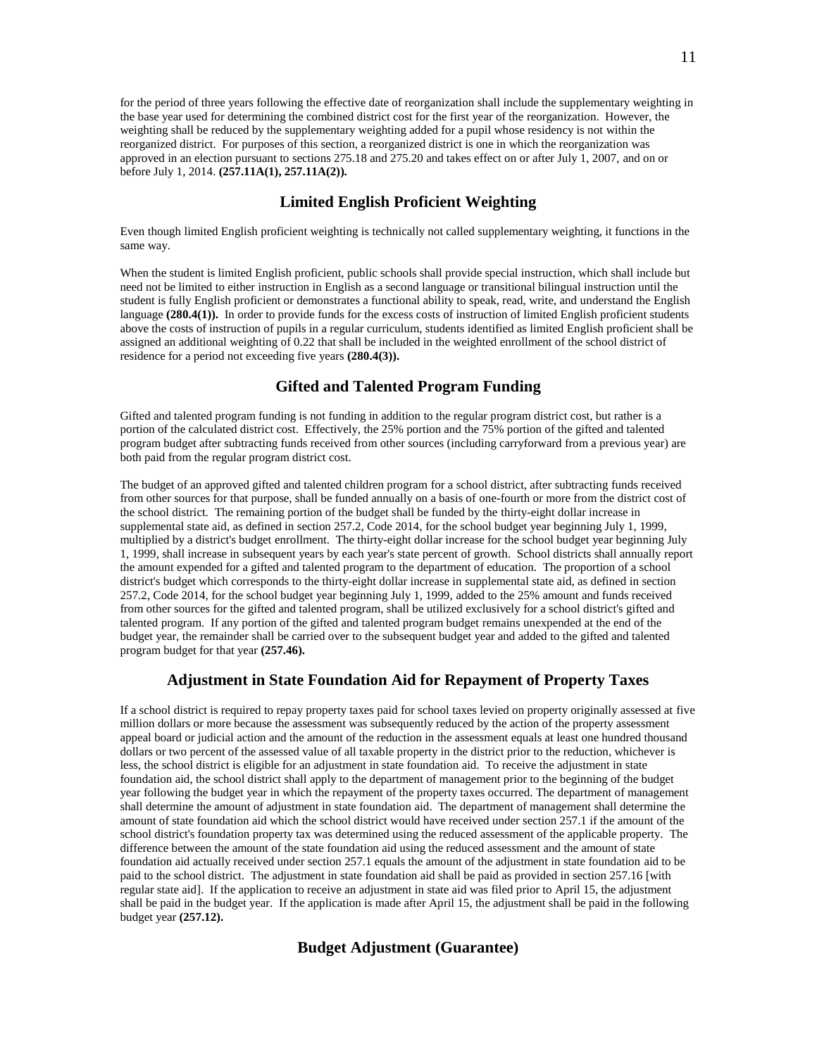for the period of three years following the effective date of reorganization shall include the supplementary weighting in the base year used for determining the combined district cost for the first year of the reorganization. However, the weighting shall be reduced by the supplementary weighting added for a pupil whose residency is not within the reorganized district. For purposes of this section, a reorganized district is one in which the reorganization was approved in an election pursuant to sections 275.18 and 275.20 and takes effect on or after July 1, 2007, and on or before July 1, 2014. **(257.11A(1), 257.11A(2)).**

## **Limited English Proficient Weighting**

Even though limited English proficient weighting is technically not called supplementary weighting, it functions in the same way.

When the student is limited English proficient, public schools shall provide special instruction, which shall include but need not be limited to either instruction in English as a second language or transitional bilingual instruction until the student is fully English proficient or demonstrates a functional ability to speak, read, write, and understand the English language **(280.4(1)).** In order to provide funds for the excess costs of instruction of limited English proficient students above the costs of instruction of pupils in a regular curriculum, students identified as limited English proficient shall be assigned an additional weighting of 0.22 that shall be included in the weighted enrollment of the school district of residence for a period not exceeding five years **(280.4(3)).**

## **Gifted and Talented Program Funding**

Gifted and talented program funding is not funding in addition to the regular program district cost, but rather is a portion of the calculated district cost. Effectively, the 25% portion and the 75% portion of the gifted and talented program budget after subtracting funds received from other sources (including carryforward from a previous year) are both paid from the regular program district cost.

The budget of an approved gifted and talented children program for a school district, after subtracting funds received from other sources for that purpose, shall be funded annually on a basis of one-fourth or more from the district cost of the school district. The remaining portion of the budget shall be funded by the thirty-eight dollar increase in supplemental state aid, as defined in section 257.2, Code 2014, for the school budget year beginning July 1, 1999, multiplied by a district's budget enrollment. The thirty-eight dollar increase for the school budget year beginning July 1, 1999, shall increase in subsequent years by each year's state percent of growth. School districts shall annually report the amount expended for a gifted and talented program to the department of education. The proportion of a school district's budget which corresponds to the thirty-eight dollar increase in supplemental state aid, as defined in section 257.2, Code 2014, for the school budget year beginning July 1, 1999, added to the 25% amount and funds received from other sources for the gifted and talented program, shall be utilized exclusively for a school district's gifted and talented program. If any portion of the gifted and talented program budget remains unexpended at the end of the budget year, the remainder shall be carried over to the subsequent budget year and added to the gifted and talented program budget for that year **(257.46).**

# **Adjustment in State Foundation Aid for Repayment of Property Taxes**

If a school district is required to repay property taxes paid for school taxes levied on property originally assessed at five million dollars or more because the assessment was subsequently reduced by the action of the property assessment appeal board or judicial action and the amount of the reduction in the assessment equals at least one hundred thousand dollars or two percent of the assessed value of all taxable property in the district prior to the reduction, whichever is less, the school district is eligible for an adjustment in state foundation aid. To receive the adjustment in state foundation aid, the school district shall apply to the department of management prior to the beginning of the budget year following the budget year in which the repayment of the property taxes occurred. The department of management shall determine the amount of adjustment in state foundation aid. The department of management shall determine the amount of state foundation aid which the school district would have received under section 257.1 if the amount of the school district's foundation property tax was determined using the reduced assessment of the applicable property. The difference between the amount of the state foundation aid using the reduced assessment and the amount of state foundation aid actually received under section 257.1 equals the amount of the adjustment in state foundation aid to be paid to the school district. The adjustment in state foundation aid shall be paid as provided in section 257.16 [with regular state aid]. If the application to receive an adjustment in state aid was filed prior to April 15, the adjustment shall be paid in the budget year. If the application is made after April 15, the adjustment shall be paid in the following budget year **(257.12).**

## **Budget Adjustment (Guarantee)**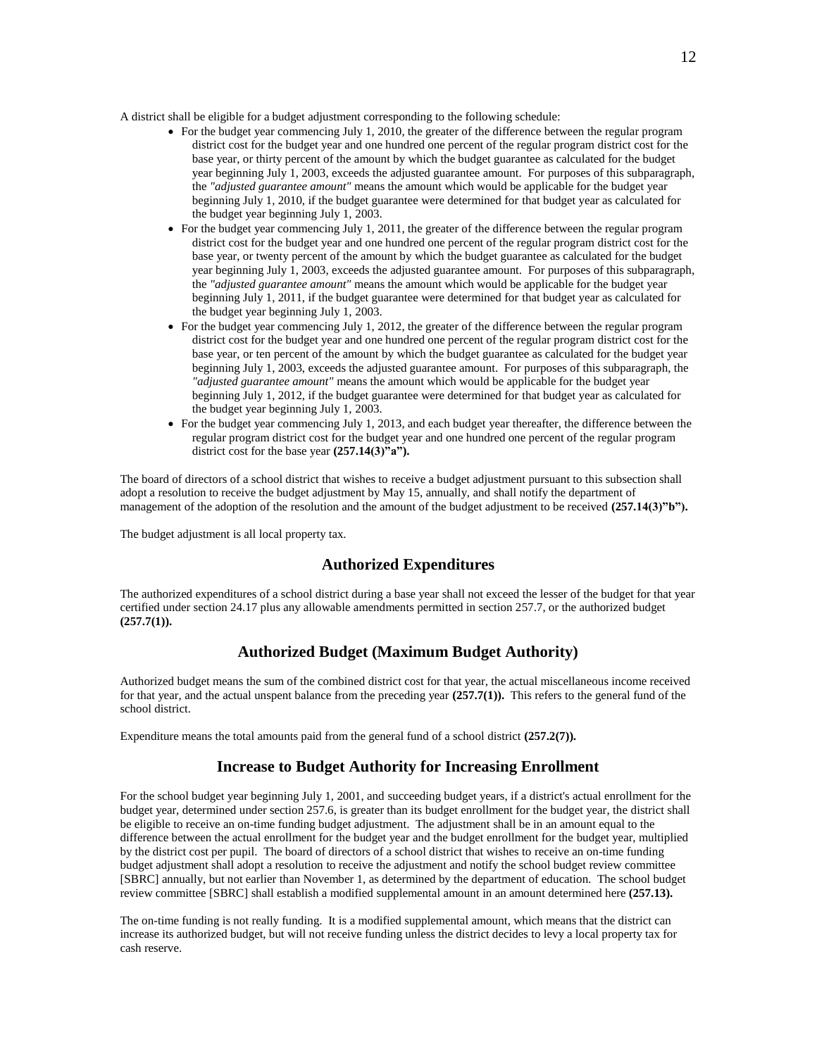A district shall be eligible for a budget adjustment corresponding to the following schedule:

- For the budget year commencing July 1, 2010, the greater of the difference between the regular program district cost for the budget year and one hundred one percent of the regular program district cost for the base year, or thirty percent of the amount by which the budget guarantee as calculated for the budget year beginning July 1, 2003, exceeds the adjusted guarantee amount. For purposes of this subparagraph, the *"adjusted guarantee amount"* means the amount which would be applicable for the budget year beginning July 1, 2010, if the budget guarantee were determined for that budget year as calculated for the budget year beginning July 1, 2003.
- For the budget year commencing July 1, 2011, the greater of the difference between the regular program district cost for the budget year and one hundred one percent of the regular program district cost for the base year, or twenty percent of the amount by which the budget guarantee as calculated for the budget year beginning July 1, 2003, exceeds the adjusted guarantee amount. For purposes of this subparagraph, the *"adjusted guarantee amount"* means the amount which would be applicable for the budget year beginning July 1, 2011, if the budget guarantee were determined for that budget year as calculated for the budget year beginning July 1, 2003.
- For the budget year commencing July 1, 2012, the greater of the difference between the regular program district cost for the budget year and one hundred one percent of the regular program district cost for the base year, or ten percent of the amount by which the budget guarantee as calculated for the budget year beginning July 1, 2003, exceeds the adjusted guarantee amount. For purposes of this subparagraph, the *"adjusted guarantee amount"* means the amount which would be applicable for the budget year beginning July 1, 2012, if the budget guarantee were determined for that budget year as calculated for the budget year beginning July 1, 2003.
- For the budget year commencing July 1, 2013, and each budget year thereafter, the difference between the regular program district cost for the budget year and one hundred one percent of the regular program district cost for the base year **(257.14(3)"a").**

The board of directors of a school district that wishes to receive a budget adjustment pursuant to this subsection shall adopt a resolution to receive the budget adjustment by May 15, annually, and shall notify the department of management of the adoption of the resolution and the amount of the budget adjustment to be received **(257.14(3)"b").**

The budget adjustment is all local property tax.

# **Authorized Expenditures**

The authorized expenditures of a school district during a base year shall not exceed the lesser of the budget for that year certified under section 24.17 plus any allowable amendments permitted in section 257.7, or the authorized budget **(257.7(1)).**

# **Authorized Budget (Maximum Budget Authority)**

Authorized budget means the sum of the combined district cost for that year, the actual miscellaneous income received for that year, and the actual unspent balance from the preceding year **(257.7(1)).** This refers to the general fund of the school district.

Expenditure means the total amounts paid from the general fund of a school district **(257.2(7)).**

# **Increase to Budget Authority for Increasing Enrollment**

For the school budget year beginning July 1, 2001, and succeeding budget years, if a district's actual enrollment for the budget year, determined under section 257.6, is greater than its budget enrollment for the budget year, the district shall be eligible to receive an on-time funding budget adjustment. The adjustment shall be in an amount equal to the difference between the actual enrollment for the budget year and the budget enrollment for the budget year, multiplied by the district cost per pupil. The board of directors of a school district that wishes to receive an on-time funding budget adjustment shall adopt a resolution to receive the adjustment and notify the school budget review committee [SBRC] annually, but not earlier than November 1, as determined by the department of education. The school budget review committee [SBRC] shall establish a modified supplemental amount in an amount determined here **(257.13).**

The on-time funding is not really funding. It is a modified supplemental amount, which means that the district can increase its authorized budget, but will not receive funding unless the district decides to levy a local property tax for cash reserve.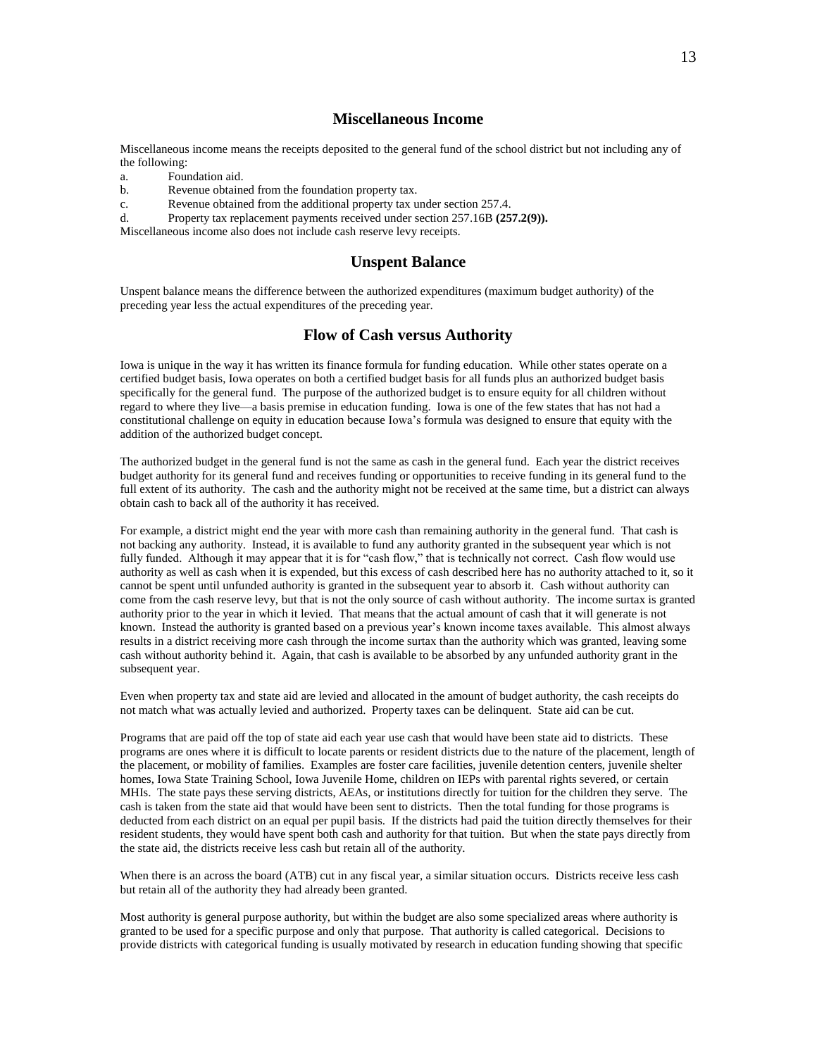## **Miscellaneous Income**

Miscellaneous income means the receipts deposited to the general fund of the school district but not including any of the following:

- a. Foundation aid.
- b. Revenue obtained from the foundation property tax.
- c. Revenue obtained from the additional property tax under section 257.4.
- d. Property tax replacement payments received under section 257.16B **(257.2(9)).**

Miscellaneous income also does not include cash reserve levy receipts.

### **Unspent Balance**

Unspent balance means the difference between the authorized expenditures (maximum budget authority) of the preceding year less the actual expenditures of the preceding year.

### **Flow of Cash versus Authority**

Iowa is unique in the way it has written its finance formula for funding education. While other states operate on a certified budget basis, Iowa operates on both a certified budget basis for all funds plus an authorized budget basis specifically for the general fund. The purpose of the authorized budget is to ensure equity for all children without regard to where they live—a basis premise in education funding. Iowa is one of the few states that has not had a constitutional challenge on equity in education because Iowa's formula was designed to ensure that equity with the addition of the authorized budget concept.

The authorized budget in the general fund is not the same as cash in the general fund. Each year the district receives budget authority for its general fund and receives funding or opportunities to receive funding in its general fund to the full extent of its authority. The cash and the authority might not be received at the same time, but a district can always obtain cash to back all of the authority it has received.

For example, a district might end the year with more cash than remaining authority in the general fund. That cash is not backing any authority. Instead, it is available to fund any authority granted in the subsequent year which is not fully funded. Although it may appear that it is for "cash flow," that is technically not correct. Cash flow would use authority as well as cash when it is expended, but this excess of cash described here has no authority attached to it, so it cannot be spent until unfunded authority is granted in the subsequent year to absorb it. Cash without authority can come from the cash reserve levy, but that is not the only source of cash without authority. The income surtax is granted authority prior to the year in which it levied. That means that the actual amount of cash that it will generate is not known. Instead the authority is granted based on a previous year's known income taxes available. This almost always results in a district receiving more cash through the income surtax than the authority which was granted, leaving some cash without authority behind it. Again, that cash is available to be absorbed by any unfunded authority grant in the subsequent year.

Even when property tax and state aid are levied and allocated in the amount of budget authority, the cash receipts do not match what was actually levied and authorized. Property taxes can be delinquent. State aid can be cut.

Programs that are paid off the top of state aid each year use cash that would have been state aid to districts. These programs are ones where it is difficult to locate parents or resident districts due to the nature of the placement, length of the placement, or mobility of families. Examples are foster care facilities, juvenile detention centers, juvenile shelter homes, Iowa State Training School, Iowa Juvenile Home, children on IEPs with parental rights severed, or certain MHIs. The state pays these serving districts, AEAs, or institutions directly for tuition for the children they serve. The cash is taken from the state aid that would have been sent to districts. Then the total funding for those programs is deducted from each district on an equal per pupil basis. If the districts had paid the tuition directly themselves for their resident students, they would have spent both cash and authority for that tuition. But when the state pays directly from the state aid, the districts receive less cash but retain all of the authority.

When there is an across the board (ATB) cut in any fiscal year, a similar situation occurs. Districts receive less cash but retain all of the authority they had already been granted.

Most authority is general purpose authority, but within the budget are also some specialized areas where authority is granted to be used for a specific purpose and only that purpose. That authority is called categorical. Decisions to provide districts with categorical funding is usually motivated by research in education funding showing that specific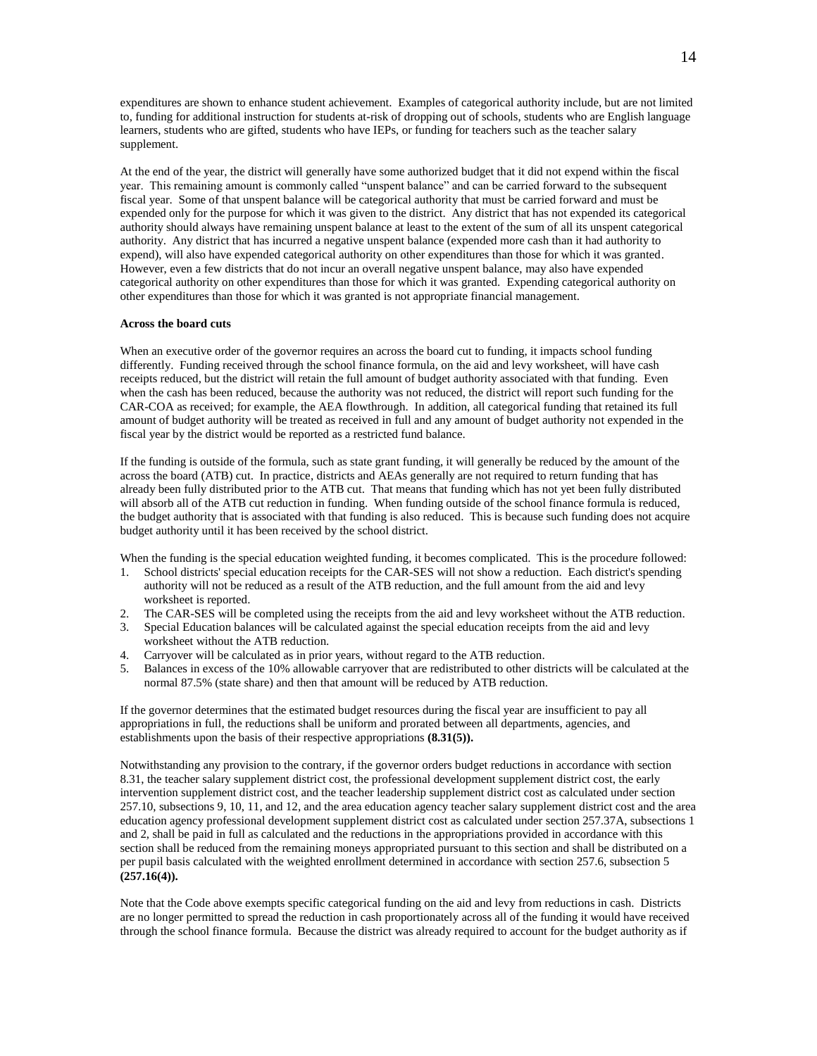expenditures are shown to enhance student achievement. Examples of categorical authority include, but are not limited to, funding for additional instruction for students at-risk of dropping out of schools, students who are English language learners, students who are gifted, students who have IEPs, or funding for teachers such as the teacher salary supplement.

At the end of the year, the district will generally have some authorized budget that it did not expend within the fiscal year. This remaining amount is commonly called "unspent balance" and can be carried forward to the subsequent fiscal year. Some of that unspent balance will be categorical authority that must be carried forward and must be expended only for the purpose for which it was given to the district. Any district that has not expended its categorical authority should always have remaining unspent balance at least to the extent of the sum of all its unspent categorical authority. Any district that has incurred a negative unspent balance (expended more cash than it had authority to expend), will also have expended categorical authority on other expenditures than those for which it was granted. However, even a few districts that do not incur an overall negative unspent balance, may also have expended categorical authority on other expenditures than those for which it was granted. Expending categorical authority on other expenditures than those for which it was granted is not appropriate financial management.

#### **Across the board cuts**

When an executive order of the governor requires an across the board cut to funding, it impacts school funding differently. Funding received through the school finance formula, on the aid and levy worksheet, will have cash receipts reduced, but the district will retain the full amount of budget authority associated with that funding. Even when the cash has been reduced, because the authority was not reduced, the district will report such funding for the CAR-COA as received; for example, the AEA flowthrough. In addition, all categorical funding that retained its full amount of budget authority will be treated as received in full and any amount of budget authority not expended in the fiscal year by the district would be reported as a restricted fund balance.

If the funding is outside of the formula, such as state grant funding, it will generally be reduced by the amount of the across the board (ATB) cut. In practice, districts and AEAs generally are not required to return funding that has already been fully distributed prior to the ATB cut. That means that funding which has not yet been fully distributed will absorb all of the ATB cut reduction in funding. When funding outside of the school finance formula is reduced, the budget authority that is associated with that funding is also reduced. This is because such funding does not acquire budget authority until it has been received by the school district.

When the funding is the special education weighted funding, it becomes complicated. This is the procedure followed:

- 1. School districts' special education receipts for the CAR-SES will not show a reduction. Each district's spending authority will not be reduced as a result of the ATB reduction, and the full amount from the aid and levy worksheet is reported.
- 2. The CAR-SES will be completed using the receipts from the aid and levy worksheet without the ATB reduction.
- 3. Special Education balances will be calculated against the special education receipts from the aid and levy worksheet without the ATB reduction.
- 4. Carryover will be calculated as in prior years, without regard to the ATB reduction.
- 5. Balances in excess of the 10% allowable carryover that are redistributed to other districts will be calculated at the normal 87.5% (state share) and then that amount will be reduced by ATB reduction.

If the governor determines that the estimated budget resources during the fiscal year are insufficient to pay all appropriations in full, the reductions shall be uniform and prorated between all departments, agencies, and establishments upon the basis of their respective appropriations **(8.31(5)).**

Notwithstanding any provision to the contrary, if the governor orders budget reductions in accordance with section 8.31, the teacher salary supplement district cost, the professional development supplement district cost, the early intervention supplement district cost, and the teacher leadership supplement district cost as calculated under section 257.10, subsections 9, 10, 11, and 12, and the area education agency teacher salary supplement district cost and the area education agency professional development supplement district cost as calculated under section 257.37A, subsections 1 and 2, shall be paid in full as calculated and the reductions in the appropriations provided in accordance with this section shall be reduced from the remaining moneys appropriated pursuant to this section and shall be distributed on a per pupil basis calculated with the weighted enrollment determined in accordance with section 257.6, subsection 5 **(257.16(4)).**

Note that the Code above exempts specific categorical funding on the aid and levy from reductions in cash. Districts are no longer permitted to spread the reduction in cash proportionately across all of the funding it would have received through the school finance formula. Because the district was already required to account for the budget authority as if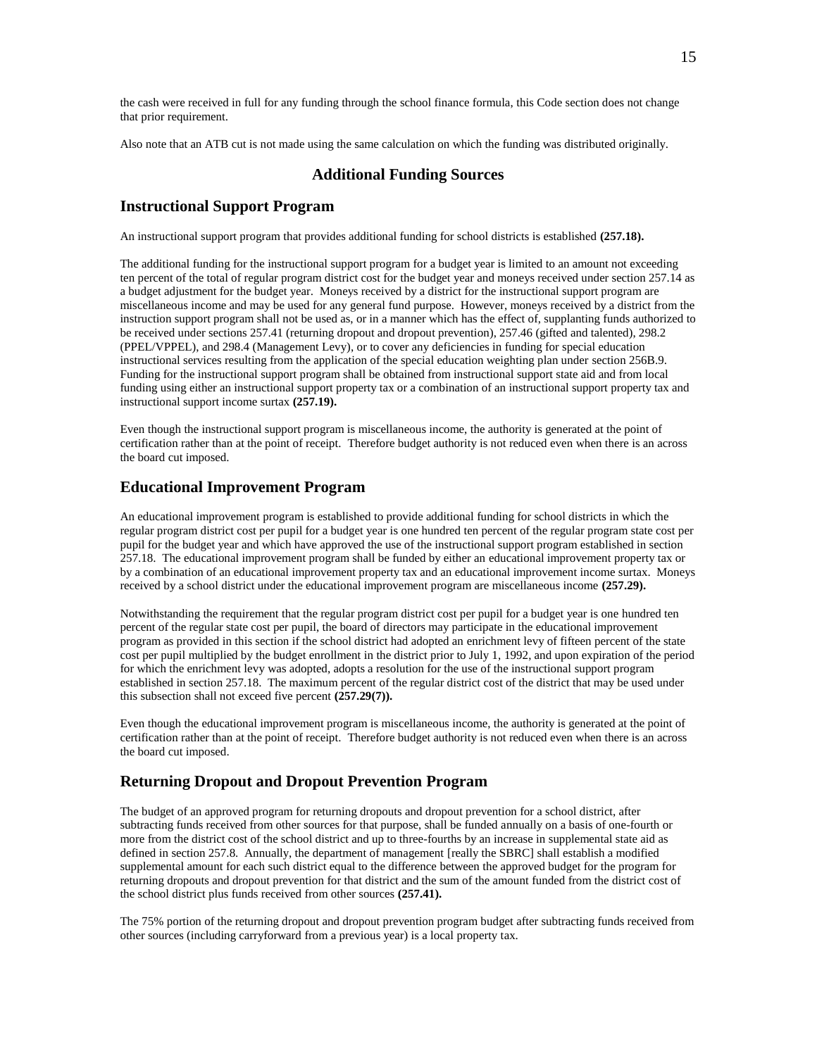the cash were received in full for any funding through the school finance formula, this Code section does not change that prior requirement.

Also note that an ATB cut is not made using the same calculation on which the funding was distributed originally.

### **Additional Funding Sources**

### **Instructional Support Program**

An instructional support program that provides additional funding for school districts is established **(257.18).**

The additional funding for the instructional support program for a budget year is limited to an amount not exceeding ten percent of the total of regular program district cost for the budget year and moneys received under section 257.14 as a budget adjustment for the budget year. Moneys received by a district for the instructional support program are miscellaneous income and may be used for any general fund purpose. However, moneys received by a district from the instruction support program shall not be used as, or in a manner which has the effect of, supplanting funds authorized to be received under sections 257.41 (returning dropout and dropout prevention), 257.46 (gifted and talented), 298.2 (PPEL/VPPEL), and 298.4 (Management Levy), or to cover any deficiencies in funding for special education instructional services resulting from the application of the special education weighting plan under section 256B.9. Funding for the instructional support program shall be obtained from instructional support state aid and from local funding using either an instructional support property tax or a combination of an instructional support property tax and instructional support income surtax **(257.19).**

Even though the instructional support program is miscellaneous income, the authority is generated at the point of certification rather than at the point of receipt. Therefore budget authority is not reduced even when there is an across the board cut imposed.

## **Educational Improvement Program**

An educational improvement program is established to provide additional funding for school districts in which the regular program district cost per pupil for a budget year is one hundred ten percent of the regular program state cost per pupil for the budget year and which have approved the use of the instructional support program established in section 257.18. The educational improvement program shall be funded by either an educational improvement property tax or by a combination of an educational improvement property tax and an educational improvement income surtax. Moneys received by a school district under the educational improvement program are miscellaneous income **(257.29).**

Notwithstanding the requirement that the regular program district cost per pupil for a budget year is one hundred ten percent of the regular state cost per pupil, the board of directors may participate in the educational improvement program as provided in this section if the school district had adopted an enrichment levy of fifteen percent of the state cost per pupil multiplied by the budget enrollment in the district prior to July 1, 1992, and upon expiration of the period for which the enrichment levy was adopted, adopts a resolution for the use of the instructional support program established in section 257.18. The maximum percent of the regular district cost of the district that may be used under this subsection shall not exceed five percent **(257.29(7)).**

Even though the educational improvement program is miscellaneous income, the authority is generated at the point of certification rather than at the point of receipt. Therefore budget authority is not reduced even when there is an across the board cut imposed.

## **Returning Dropout and Dropout Prevention Program**

The budget of an approved program for returning dropouts and dropout prevention for a school district, after subtracting funds received from other sources for that purpose, shall be funded annually on a basis of one-fourth or more from the district cost of the school district and up to three-fourths by an increase in supplemental state aid as defined in section 257.8. Annually, the department of management [really the SBRC] shall establish a modified supplemental amount for each such district equal to the difference between the approved budget for the program for returning dropouts and dropout prevention for that district and the sum of the amount funded from the district cost of the school district plus funds received from other sources **(257.41).**

The 75% portion of the returning dropout and dropout prevention program budget after subtracting funds received from other sources (including carryforward from a previous year) is a local property tax.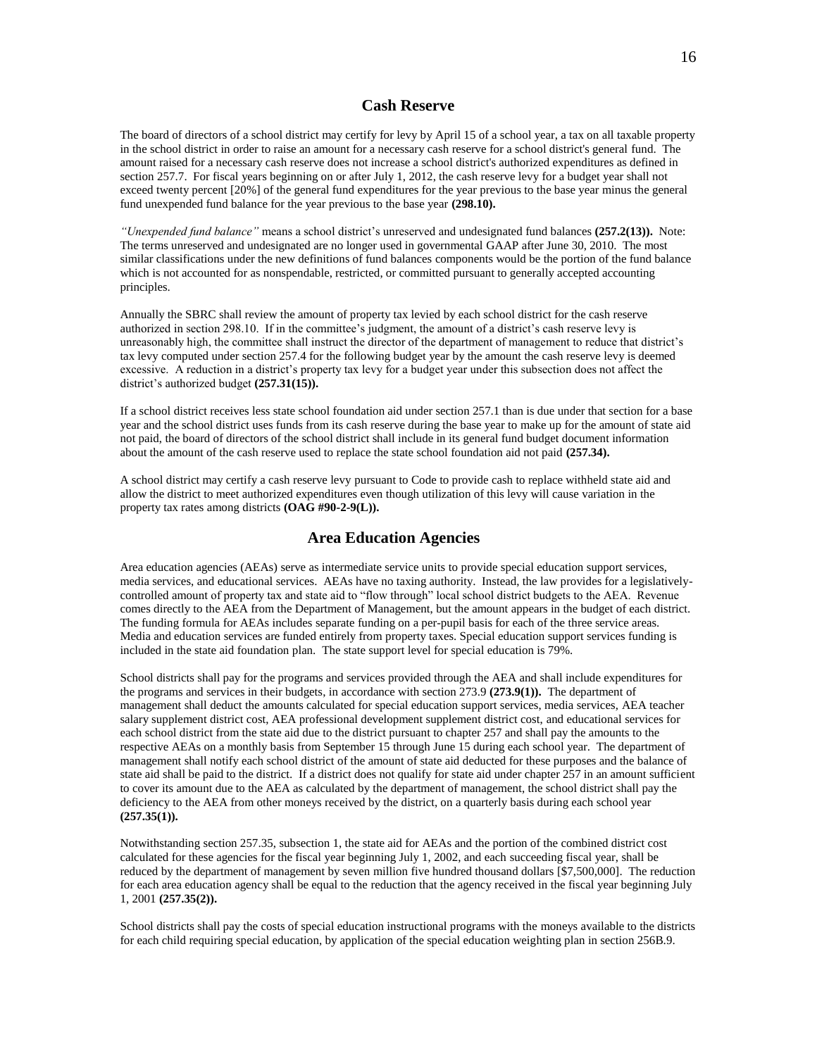## **Cash Reserve**

The board of directors of a school district may certify for levy by April 15 of a school year, a tax on all taxable property in the school district in order to raise an amount for a necessary cash reserve for a school district's general fund. The amount raised for a necessary cash reserve does not increase a school district's authorized expenditures as defined in section 257.7. For fiscal years beginning on or after July 1, 2012, the cash reserve levy for a budget year shall not exceed twenty percent [20%] of the general fund expenditures for the year previous to the base year minus the general fund unexpended fund balance for the year previous to the base year **(298.10).**

*"Unexpended fund balance"* means a school district's unreserved and undesignated fund balances **(257.2(13)).** Note: The terms unreserved and undesignated are no longer used in governmental GAAP after June 30, 2010. The most similar classifications under the new definitions of fund balances components would be the portion of the fund balance which is not accounted for as nonspendable, restricted, or committed pursuant to generally accepted accounting principles.

Annually the SBRC shall review the amount of property tax levied by each school district for the cash reserve authorized in section 298.10. If in the committee's judgment, the amount of a district's cash reserve levy is unreasonably high, the committee shall instruct the director of the department of management to reduce that district's tax levy computed under section 257.4 for the following budget year by the amount the cash reserve levy is deemed excessive. A reduction in a district's property tax levy for a budget year under this subsection does not affect the district's authorized budget **(257.31(15)).**

If a school district receives less state school foundation aid under section 257.1 than is due under that section for a base year and the school district uses funds from its cash reserve during the base year to make up for the amount of state aid not paid, the board of directors of the school district shall include in its general fund budget document information about the amount of the cash reserve used to replace the state school foundation aid not paid **(257.34).**

A school district may certify a cash reserve levy pursuant to Code to provide cash to replace withheld state aid and allow the district to meet authorized expenditures even though utilization of this levy will cause variation in the property tax rates among districts **(OAG #90-2-9(L)).**

## **Area Education Agencies**

Area education agencies (AEAs) serve as intermediate service units to provide special education support services, media services, and educational services. AEAs have no taxing authority. Instead, the law provides for a legislativelycontrolled amount of property tax and state aid to "flow through" local school district budgets to the AEA. Revenue comes directly to the AEA from the Department of Management, but the amount appears in the budget of each district. The funding formula for AEAs includes separate funding on a per-pupil basis for each of the three service areas. Media and education services are funded entirely from property taxes. Special education support services funding is included in the state aid foundation plan. The state support level for special education is 79%.

School districts shall pay for the programs and services provided through the AEA and shall include expenditures for the programs and services in their budgets, in accordance with section 273.9 **(273.9(1)).** The department of management shall deduct the amounts calculated for special education support services, media services, AEA teacher salary supplement district cost, AEA professional development supplement district cost, and educational services for each school district from the state aid due to the district pursuant to chapter 257 and shall pay the amounts to the respective AEAs on a monthly basis from September 15 through June 15 during each school year. The department of management shall notify each school district of the amount of state aid deducted for these purposes and the balance of state aid shall be paid to the district. If a district does not qualify for state aid under chapter 257 in an amount sufficient to cover its amount due to the AEA as calculated by the department of management, the school district shall pay the deficiency to the AEA from other moneys received by the district, on a quarterly basis during each school year **(257.35(1)).**

Notwithstanding section 257.35, subsection 1, the state aid for AEAs and the portion of the combined district cost calculated for these agencies for the fiscal year beginning July 1, 2002, and each succeeding fiscal year, shall be reduced by the department of management by seven million five hundred thousand dollars [\$7,500,000]. The reduction for each area education agency shall be equal to the reduction that the agency received in the fiscal year beginning July 1, 2001 **(257.35(2)).**

School districts shall pay the costs of special education instructional programs with the moneys available to the districts for each child requiring special education, by application of the special education weighting plan in section 256B.9.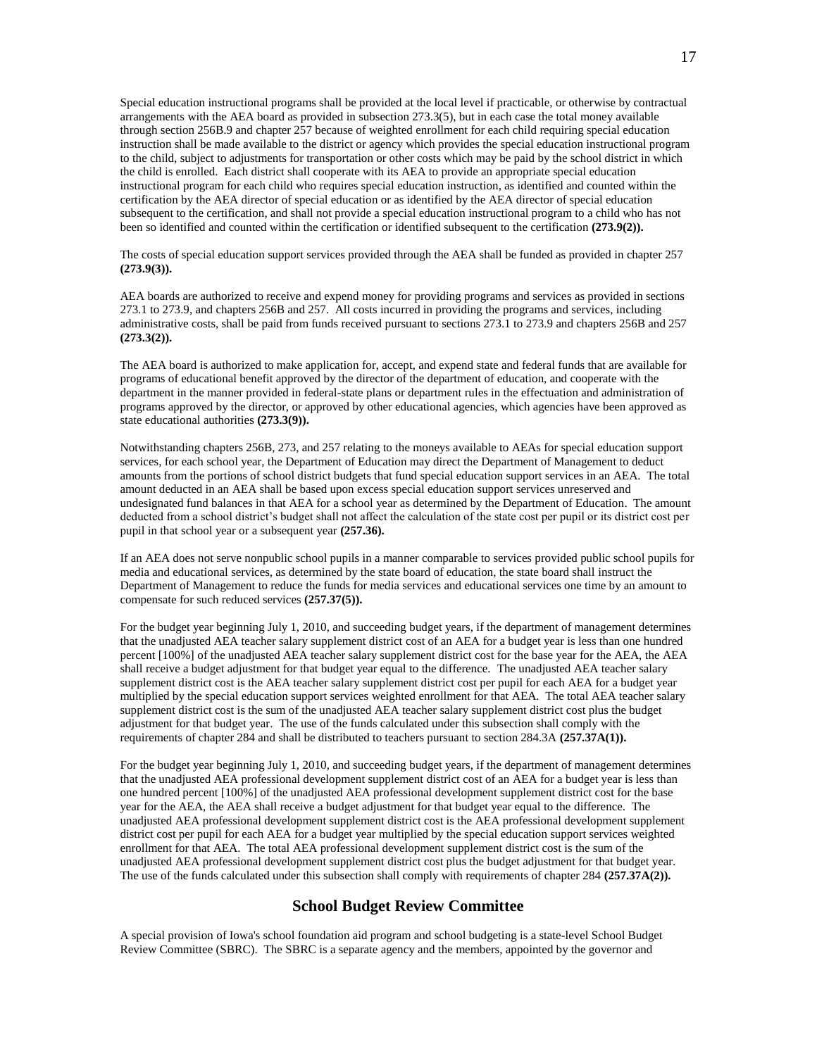Special education instructional programs shall be provided at the local level if practicable, or otherwise by contractual arrangements with the AEA board as provided in subsection 273.3(5), but in each case the total money available through section 256B.9 and chapter 257 because of weighted enrollment for each child requiring special education instruction shall be made available to the district or agency which provides the special education instructional program to the child, subject to adjustments for transportation or other costs which may be paid by the school district in which the child is enrolled. Each district shall cooperate with its AEA to provide an appropriate special education instructional program for each child who requires special education instruction, as identified and counted within the certification by the AEA director of special education or as identified by the AEA director of special education subsequent to the certification, and shall not provide a special education instructional program to a child who has not been so identified and counted within the certification or identified subsequent to the certification **(273.9(2)).**

The costs of special education support services provided through the AEA shall be funded as provided in chapter 257 **(273.9(3)).**

AEA boards are authorized to receive and expend money for providing programs and services as provided in sections 273.1 to 273.9, and chapters 256B and 257. All costs incurred in providing the programs and services, including administrative costs, shall be paid from funds received pursuant to sections 273.1 to 273.9 and chapters 256B and 257 **(273.3(2)).**

The AEA board is authorized to make application for, accept, and expend state and federal funds that are available for programs of educational benefit approved by the director of the department of education, and cooperate with the department in the manner provided in federal-state plans or department rules in the effectuation and administration of programs approved by the director, or approved by other educational agencies, which agencies have been approved as state educational authorities **(273.3(9)).**

Notwithstanding chapters 256B, 273, and 257 relating to the moneys available to AEAs for special education support services, for each school year, the Department of Education may direct the Department of Management to deduct amounts from the portions of school district budgets that fund special education support services in an AEA. The total amount deducted in an AEA shall be based upon excess special education support services unreserved and undesignated fund balances in that AEA for a school year as determined by the Department of Education. The amount deducted from a school district's budget shall not affect the calculation of the state cost per pupil or its district cost per pupil in that school year or a subsequent year **(257.36).**

If an AEA does not serve nonpublic school pupils in a manner comparable to services provided public school pupils for media and educational services, as determined by the state board of education, the state board shall instruct the Department of Management to reduce the funds for media services and educational services one time by an amount to compensate for such reduced services **(257.37(5)).**

For the budget year beginning July 1, 2010, and succeeding budget years, if the department of management determines that the unadjusted AEA teacher salary supplement district cost of an AEA for a budget year is less than one hundred percent [100%] of the unadjusted AEA teacher salary supplement district cost for the base year for the AEA, the AEA shall receive a budget adjustment for that budget year equal to the difference. The unadjusted AEA teacher salary supplement district cost is the AEA teacher salary supplement district cost per pupil for each AEA for a budget year multiplied by the special education support services weighted enrollment for that AEA. The total AEA teacher salary supplement district cost is the sum of the unadjusted AEA teacher salary supplement district cost plus the budget adjustment for that budget year. The use of the funds calculated under this subsection shall comply with the requirements of chapter 284 and shall be distributed to teachers pursuant to section 284.3A **(257.37A(1)).**

For the budget year beginning July 1, 2010, and succeeding budget years, if the department of management determines that the unadjusted AEA professional development supplement district cost of an AEA for a budget year is less than one hundred percent [100%] of the unadjusted AEA professional development supplement district cost for the base year for the AEA, the AEA shall receive a budget adjustment for that budget year equal to the difference. The unadjusted AEA professional development supplement district cost is the AEA professional development supplement district cost per pupil for each AEA for a budget year multiplied by the special education support services weighted enrollment for that AEA. The total AEA professional development supplement district cost is the sum of the unadjusted AEA professional development supplement district cost plus the budget adjustment for that budget year. The use of the funds calculated under this subsection shall comply with requirements of chapter 284 **(257.37A(2)).**

## **School Budget Review Committee**

A special provision of Iowa's school foundation aid program and school budgeting is a state-level School Budget Review Committee (SBRC). The SBRC is a separate agency and the members, appointed by the governor and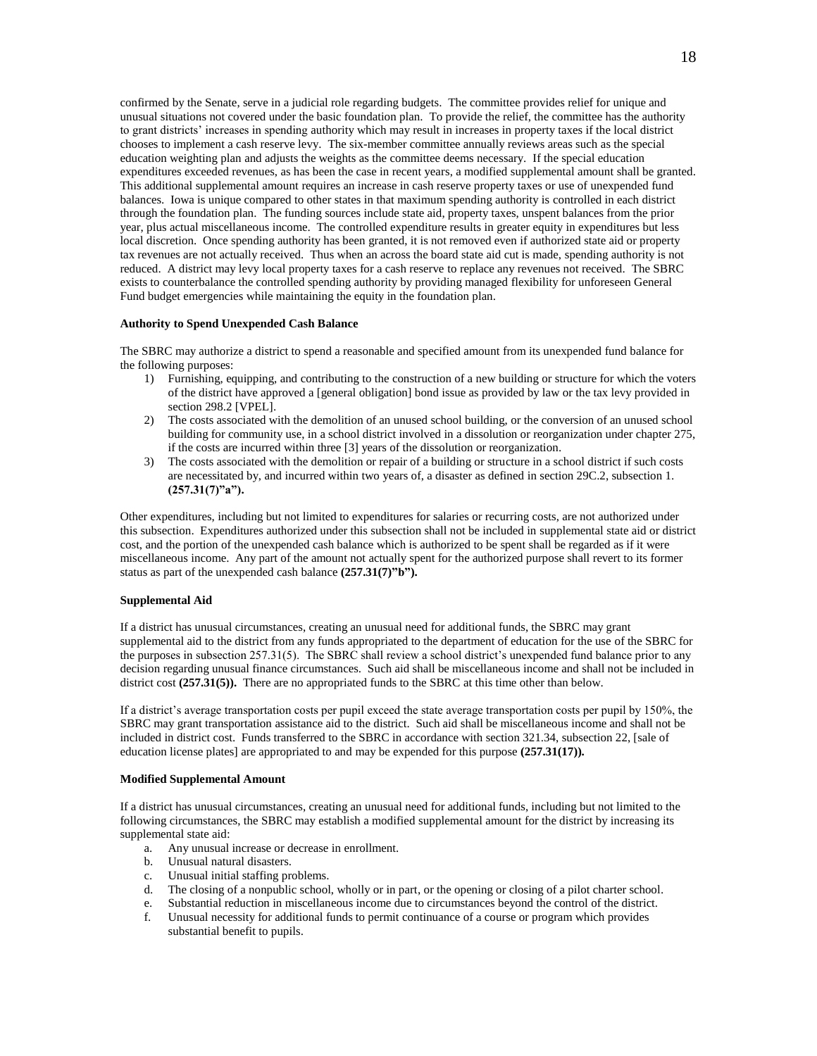confirmed by the Senate, serve in a judicial role regarding budgets. The committee provides relief for unique and unusual situations not covered under the basic foundation plan. To provide the relief, the committee has the authority to grant districts' increases in spending authority which may result in increases in property taxes if the local district chooses to implement a cash reserve levy. The six-member committee annually reviews areas such as the special education weighting plan and adjusts the weights as the committee deems necessary. If the special education expenditures exceeded revenues, as has been the case in recent years, a modified supplemental amount shall be granted. This additional supplemental amount requires an increase in cash reserve property taxes or use of unexpended fund balances. Iowa is unique compared to other states in that maximum spending authority is controlled in each district through the foundation plan. The funding sources include state aid, property taxes, unspent balances from the prior year, plus actual miscellaneous income. The controlled expenditure results in greater equity in expenditures but less local discretion. Once spending authority has been granted, it is not removed even if authorized state aid or property tax revenues are not actually received. Thus when an across the board state aid cut is made, spending authority is not reduced. A district may levy local property taxes for a cash reserve to replace any revenues not received. The SBRC exists to counterbalance the controlled spending authority by providing managed flexibility for unforeseen General Fund budget emergencies while maintaining the equity in the foundation plan.

#### **Authority to Spend Unexpended Cash Balance**

The SBRC may authorize a district to spend a reasonable and specified amount from its unexpended fund balance for the following purposes:

- 1) Furnishing, equipping, and contributing to the construction of a new building or structure for which the voters of the district have approved a [general obligation] bond issue as provided by law or the tax levy provided in section 298.2 [VPEL].
- 2) The costs associated with the demolition of an unused school building, or the conversion of an unused school building for community use, in a school district involved in a dissolution or reorganization under chapter 275, if the costs are incurred within three [3] years of the dissolution or reorganization.
- 3) The costs associated with the demolition or repair of a building or structure in a school district if such costs are necessitated by, and incurred within two years of, a disaster as defined in section 29C.2, subsection 1. **(257.31(7)"a").**

Other expenditures, including but not limited to expenditures for salaries or recurring costs, are not authorized under this subsection. Expenditures authorized under this subsection shall not be included in supplemental state aid or district cost, and the portion of the unexpended cash balance which is authorized to be spent shall be regarded as if it were miscellaneous income. Any part of the amount not actually spent for the authorized purpose shall revert to its former status as part of the unexpended cash balance **(257.31(7)"b").**

#### **Supplemental Aid**

If a district has unusual circumstances, creating an unusual need for additional funds, the SBRC may grant supplemental aid to the district from any funds appropriated to the department of education for the use of the SBRC for the purposes in subsection 257.31(5). The SBRC shall review a school district's unexpended fund balance prior to any decision regarding unusual finance circumstances. Such aid shall be miscellaneous income and shall not be included in district cost (257.31(5)). There are no appropriated funds to the SBRC at this time other than below.

If a district's average transportation costs per pupil exceed the state average transportation costs per pupil by 150%, the SBRC may grant transportation assistance aid to the district. Such aid shall be miscellaneous income and shall not be included in district cost. Funds transferred to the SBRC in accordance with section 321.34, subsection 22, [sale of education license plates] are appropriated to and may be expended for this purpose **(257.31(17)).**

#### **Modified Supplemental Amount**

If a district has unusual circumstances, creating an unusual need for additional funds, including but not limited to the following circumstances, the SBRC may establish a modified supplemental amount for the district by increasing its supplemental state aid:

- a. Any unusual increase or decrease in enrollment.
- b. Unusual natural disasters.
- c. Unusual initial staffing problems.
- d. The closing of a nonpublic school, wholly or in part, or the opening or closing of a pilot charter school.
- e. Substantial reduction in miscellaneous income due to circumstances beyond the control of the district.
- f. Unusual necessity for additional funds to permit continuance of a course or program which provides substantial benefit to pupils.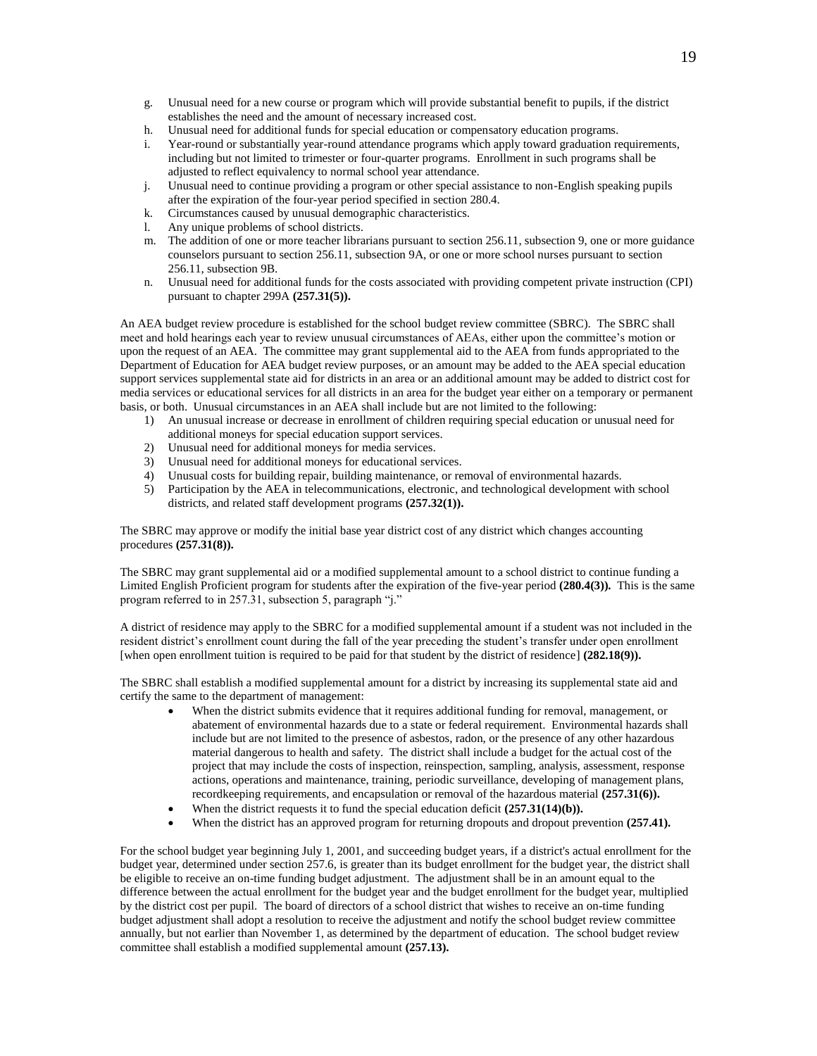- g. Unusual need for a new course or program which will provide substantial benefit to pupils, if the district establishes the need and the amount of necessary increased cost.
- h. Unusual need for additional funds for special education or compensatory education programs.
- i. Year-round or substantially year-round attendance programs which apply toward graduation requirements, including but not limited to trimester or four-quarter programs. Enrollment in such programs shall be adjusted to reflect equivalency to normal school year attendance.
- j. Unusual need to continue providing a program or other special assistance to non-English speaking pupils after the expiration of the four-year period specified in section 280.4.
- k. Circumstances caused by unusual demographic characteristics.
- l. Any unique problems of school districts.
- m. The addition of one or more teacher librarians pursuant to section 256.11, subsection 9, one or more guidance counselors pursuant to section 256.11, subsection 9A, or one or more school nurses pursuant to section 256.11, subsection 9B.
- n. Unusual need for additional funds for the costs associated with providing competent private instruction (CPI) pursuant to chapter 299A **(257.31(5)).**

An AEA budget review procedure is established for the school budget review committee (SBRC). The SBRC shall meet and hold hearings each year to review unusual circumstances of AEAs, either upon the committee's motion or upon the request of an AEA. The committee may grant supplemental aid to the AEA from funds appropriated to the Department of Education for AEA budget review purposes, or an amount may be added to the AEA special education support services supplemental state aid for districts in an area or an additional amount may be added to district cost for media services or educational services for all districts in an area for the budget year either on a temporary or permanent basis, or both. Unusual circumstances in an AEA shall include but are not limited to the following:

- 1) An unusual increase or decrease in enrollment of children requiring special education or unusual need for additional moneys for special education support services.
- 2) Unusual need for additional moneys for media services.
- 3) Unusual need for additional moneys for educational services.
- 4) Unusual costs for building repair, building maintenance, or removal of environmental hazards.
- 5) Participation by the AEA in telecommunications, electronic, and technological development with school districts, and related staff development programs **(257.32(1)).**

The SBRC may approve or modify the initial base year district cost of any district which changes accounting procedures **(257.31(8)).**

The SBRC may grant supplemental aid or a modified supplemental amount to a school district to continue funding a Limited English Proficient program for students after the expiration of the five-year period **(280.4(3)).** This is the same program referred to in 257.31, subsection 5, paragraph "j."

A district of residence may apply to the SBRC for a modified supplemental amount if a student was not included in the resident district's enrollment count during the fall of the year preceding the student's transfer under open enrollment [when open enrollment tuition is required to be paid for that student by the district of residence] **(282.18(9)).**

The SBRC shall establish a modified supplemental amount for a district by increasing its supplemental state aid and certify the same to the department of management:

- When the district submits evidence that it requires additional funding for removal, management, or abatement of environmental hazards due to a state or federal requirement. Environmental hazards shall include but are not limited to the presence of asbestos, radon, or the presence of any other hazardous material dangerous to health and safety. The district shall include a budget for the actual cost of the project that may include the costs of inspection, reinspection, sampling, analysis, assessment, response actions, operations and maintenance, training, periodic surveillance, developing of management plans, recordkeeping requirements, and encapsulation or removal of the hazardous material **(257.31(6)).**
- When the district requests it to fund the special education deficit **(257.31(14)(b)).**
- When the district has an approved program for returning dropouts and dropout prevention  $(257.41)$ .

For the school budget year beginning July 1, 2001, and succeeding budget years, if a district's actual enrollment for the budget year, determined under section 257.6, is greater than its budget enrollment for the budget year, the district shall be eligible to receive an on-time funding budget adjustment. The adjustment shall be in an amount equal to the difference between the actual enrollment for the budget year and the budget enrollment for the budget year, multiplied by the district cost per pupil. The board of directors of a school district that wishes to receive an on-time funding budget adjustment shall adopt a resolution to receive the adjustment and notify the school budget review committee annually, but not earlier than November 1, as determined by the department of education. The school budget review committee shall establish a modified supplemental amount **(257.13).**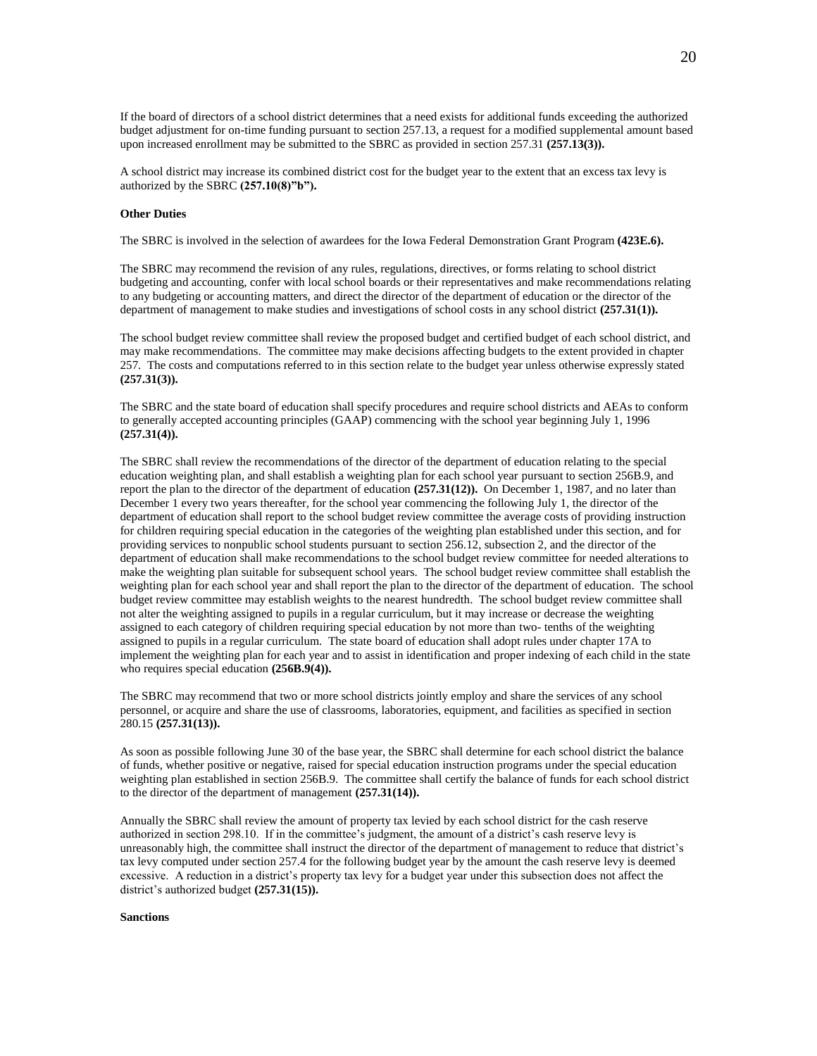If the board of directors of a school district determines that a need exists for additional funds exceeding the authorized budget adjustment for on-time funding pursuant to section 257.13, a request for a modified supplemental amount based upon increased enrollment may be submitted to the SBRC as provided in section 257.31 **(257.13(3)).**

A school district may increase its combined district cost for the budget year to the extent that an excess tax levy is authorized by the SBRC **(257.10(8)"b").**

#### **Other Duties**

The SBRC is involved in the selection of awardees for the Iowa Federal Demonstration Grant Program **(423E.6).**

The SBRC may recommend the revision of any rules, regulations, directives, or forms relating to school district budgeting and accounting, confer with local school boards or their representatives and make recommendations relating to any budgeting or accounting matters, and direct the director of the department of education or the director of the department of management to make studies and investigations of school costs in any school district **(257.31(1)).**

The school budget review committee shall review the proposed budget and certified budget of each school district, and may make recommendations. The committee may make decisions affecting budgets to the extent provided in chapter 257. The costs and computations referred to in this section relate to the budget year unless otherwise expressly stated **(257.31(3)).**

The SBRC and the state board of education shall specify procedures and require school districts and AEAs to conform to generally accepted accounting principles (GAAP) commencing with the school year beginning July 1, 1996 **(257.31(4)).**

The SBRC shall review the recommendations of the director of the department of education relating to the special education weighting plan, and shall establish a weighting plan for each school year pursuant to section 256B.9, and report the plan to the director of the department of education **(257.31(12)).** On December 1, 1987, and no later than December 1 every two years thereafter, for the school year commencing the following July 1, the director of the department of education shall report to the school budget review committee the average costs of providing instruction for children requiring special education in the categories of the weighting plan established under this section, and for providing services to nonpublic school students pursuant to section 256.12, subsection 2, and the director of the department of education shall make recommendations to the school budget review committee for needed alterations to make the weighting plan suitable for subsequent school years. The school budget review committee shall establish the weighting plan for each school year and shall report the plan to the director of the department of education. The school budget review committee may establish weights to the nearest hundredth. The school budget review committee shall not alter the weighting assigned to pupils in a regular curriculum, but it may increase or decrease the weighting assigned to each category of children requiring special education by not more than two- tenths of the weighting assigned to pupils in a regular curriculum. The state board of education shall adopt rules under chapter 17A to implement the weighting plan for each year and to assist in identification and proper indexing of each child in the state who requires special education **(256B.9(4)).**

The SBRC may recommend that two or more school districts jointly employ and share the services of any school personnel, or acquire and share the use of classrooms, laboratories, equipment, and facilities as specified in section 280.15 **(257.31(13)).**

As soon as possible following June 30 of the base year, the SBRC shall determine for each school district the balance of funds, whether positive or negative, raised for special education instruction programs under the special education weighting plan established in section 256B.9. The committee shall certify the balance of funds for each school district to the director of the department of management **(257.31(14)).**

Annually the SBRC shall review the amount of property tax levied by each school district for the cash reserve authorized in section 298.10. If in the committee's judgment, the amount of a district's cash reserve levy is unreasonably high, the committee shall instruct the director of the department of management to reduce that district's tax levy computed under section 257.4 for the following budget year by the amount the cash reserve levy is deemed excessive. A reduction in a district's property tax levy for a budget year under this subsection does not affect the district's authorized budget **(257.31(15)).**

#### **Sanctions**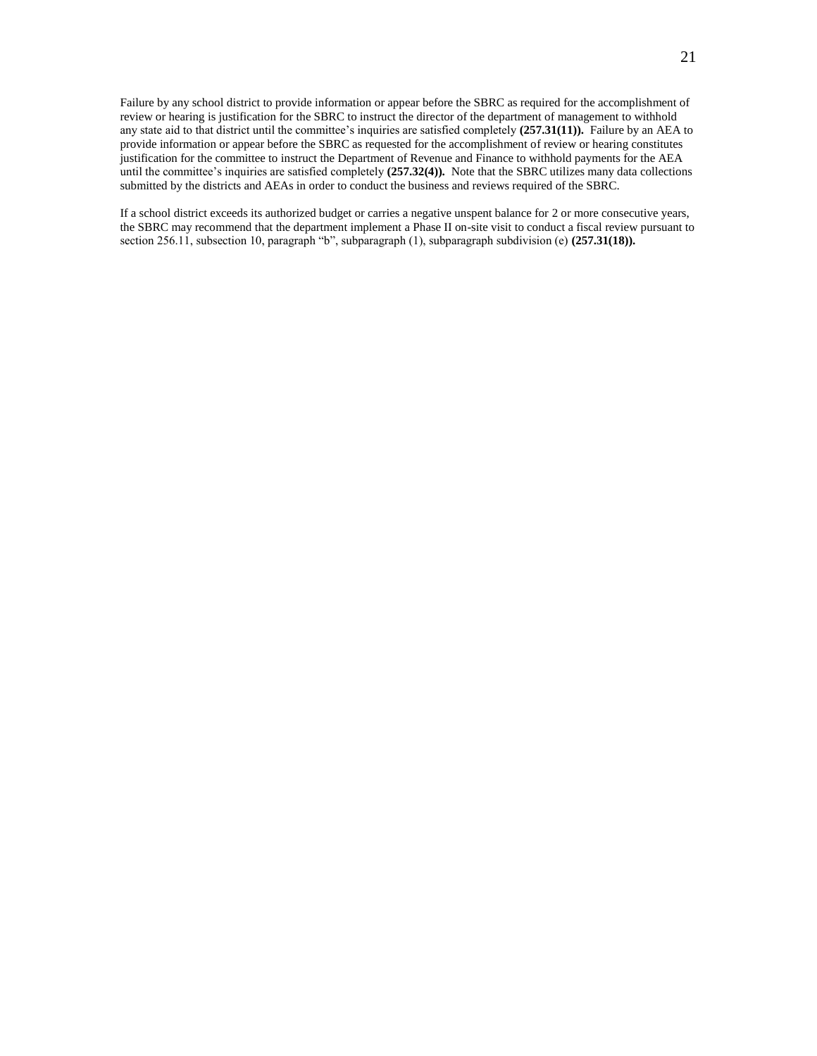Failure by any school district to provide information or appear before the SBRC as required for the accomplishment of review or hearing is justification for the SBRC to instruct the director of the department of management to withhold any state aid to that district until the committee's inquiries are satisfied completely **(257.31(11)).** Failure by an AEA to provide information or appear before the SBRC as requested for the accomplishment of review or hearing constitutes justification for the committee to instruct the Department of Revenue and Finance to withhold payments for the AEA until the committee's inquiries are satisfied completely **(257.32(4)).** Note that the SBRC utilizes many data collections submitted by the districts and AEAs in order to conduct the business and reviews required of the SBRC.

If a school district exceeds its authorized budget or carries a negative unspent balance for 2 or more consecutive years, the SBRC may recommend that the department implement a Phase II on-site visit to conduct a fiscal review pursuant to section 256.11, subsection 10, paragraph "b", subparagraph (1), subparagraph subdivision (e) **(257.31(18)).**